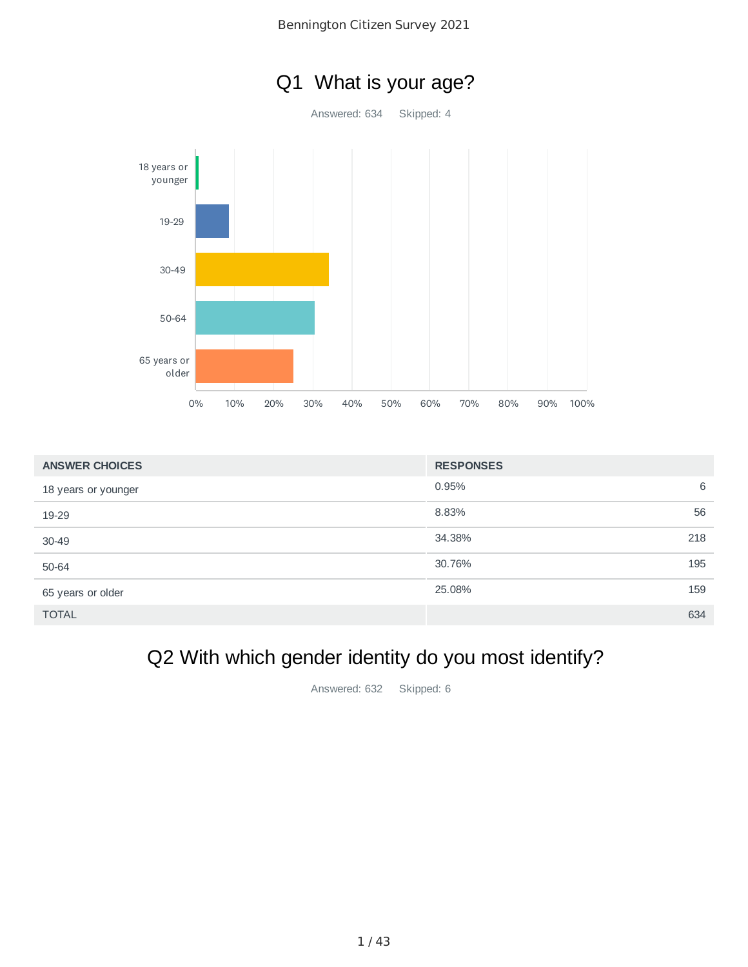



| <b>ANSWER CHOICES</b> | <b>RESPONSES</b> |
|-----------------------|------------------|
| 18 years or younger   | 0.95%<br>6       |
| 19-29                 | 56<br>8.83%      |
| $30 - 49$             | 218<br>34.38%    |
| 50-64                 | 195<br>30.76%    |
| 65 years or older     | 25.08%<br>159    |
| <b>TOTAL</b>          | 634              |

# Q2 With which gender identity do you most identify?

Answered: 632 Skipped: 6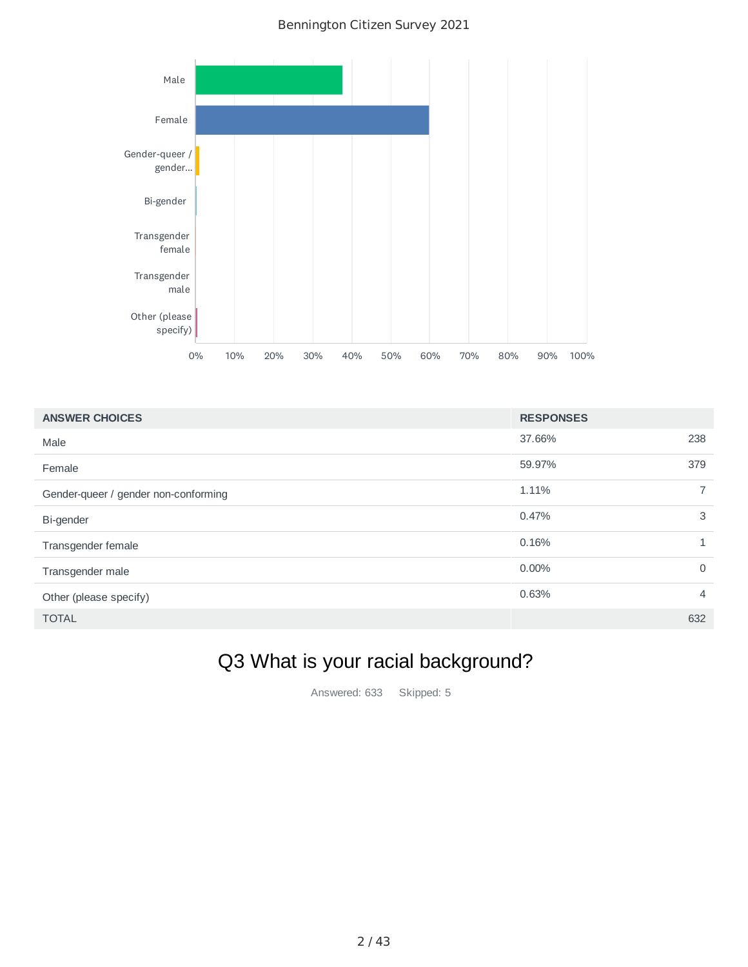

| <b>ANSWER CHOICES</b>                | <b>RESPONSES</b> |                |
|--------------------------------------|------------------|----------------|
| Male                                 | 37.66%           | 238            |
| Female                               | 59.97%           | 379            |
| Gender-queer / gender non-conforming | 1.11%            | $\overline{7}$ |
| Bi-gender                            | 0.47%            | 3              |
| Transgender female                   | 0.16%            | 1              |
| Transgender male                     | $0.00\%$         | $\Omega$       |
| Other (please specify)               | 0.63%            | $\overline{4}$ |
| <b>TOTAL</b>                         |                  | 632            |

# Q3 What is your racial background?

Answered: 633 Skipped: 5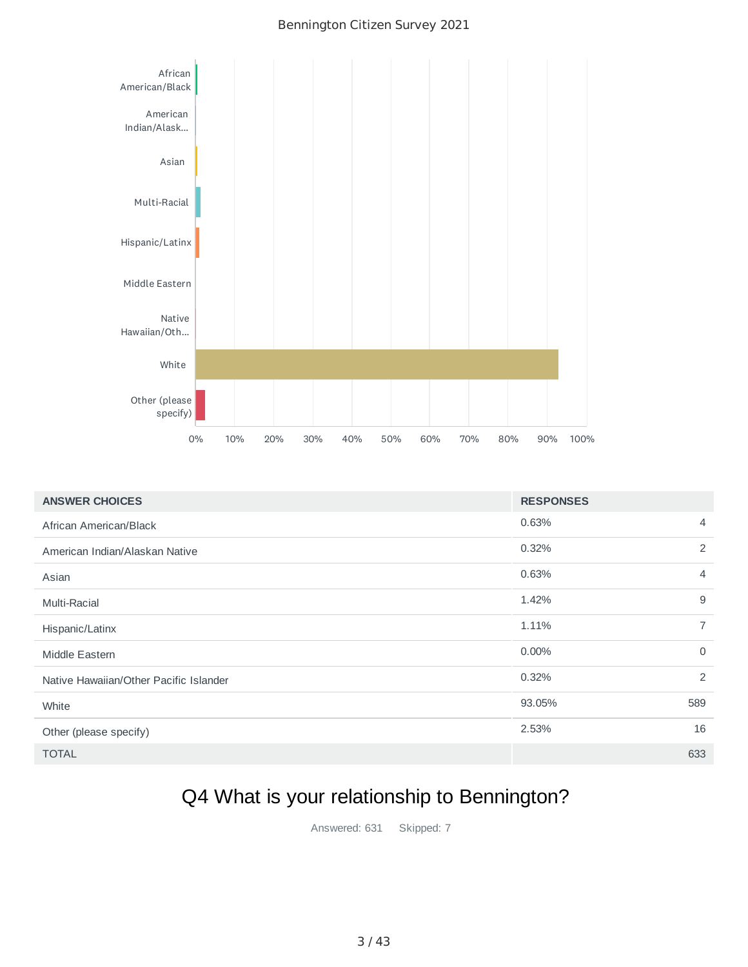

| <b>ANSWER CHOICES</b>                  | <b>RESPONSES</b> |                |
|----------------------------------------|------------------|----------------|
| African American/Black                 | 0.63%            | $\overline{4}$ |
| American Indian/Alaskan Native         | 0.32%            | 2              |
| Asian                                  | 0.63%            | $\overline{4}$ |
| Multi-Racial                           | 1.42%            | 9              |
| Hispanic/Latinx                        | 1.11%            | $\overline{7}$ |
| Middle Eastern                         | 0.00%            | $\mathbf 0$    |
| Native Hawaiian/Other Pacific Islander | 0.32%            | 2              |
| White                                  | 93.05%           | 589            |
| Other (please specify)                 | 2.53%            | 16             |
| <b>TOTAL</b>                           |                  | 633            |

## Q4 What is your relationship to Bennington?

Answered: 631 Skipped: 7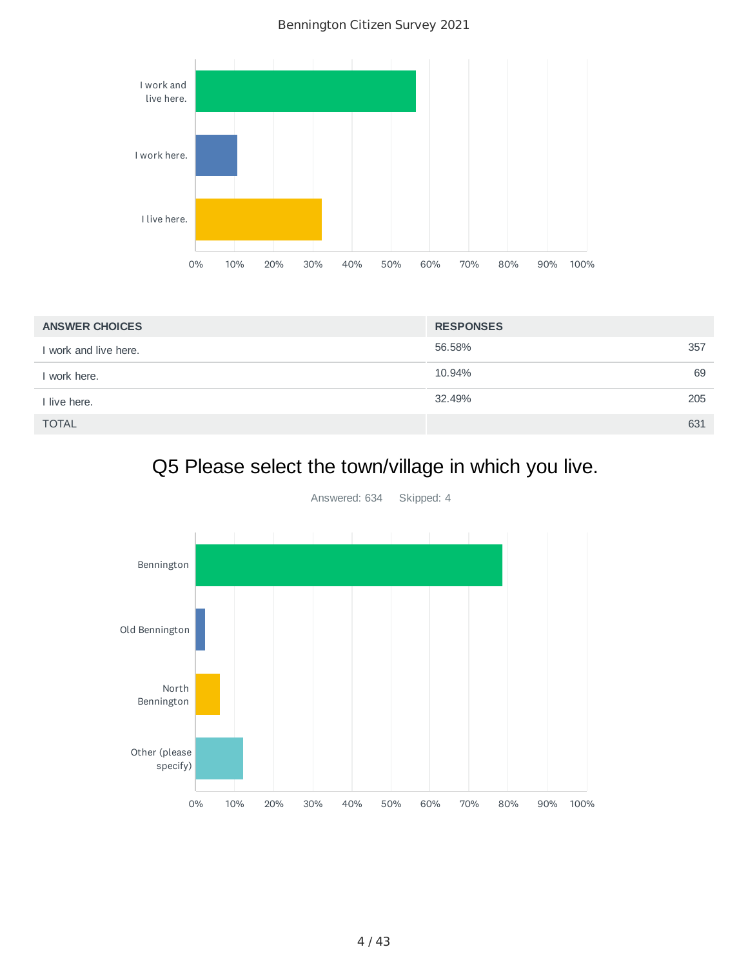

| <b>ANSWER CHOICES</b> | <b>RESPONSES</b> |     |
|-----------------------|------------------|-----|
| I work and live here. | 56.58%           | 357 |
| I work here.          | 10.94%           | 69  |
| I live here.          | 32.49%           | 205 |
| <b>TOTAL</b>          |                  | 631 |

## Q5 Please select the town/village in which you live.



Answered: 634 Skipped: 4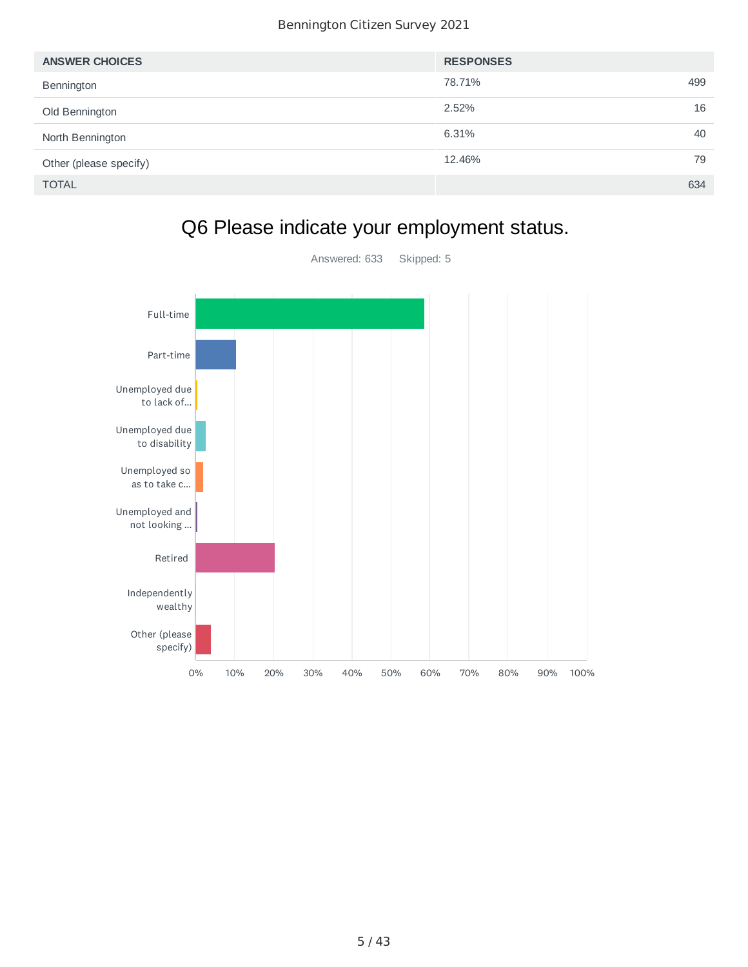| <b>ANSWER CHOICES</b>  | <b>RESPONSES</b> |     |
|------------------------|------------------|-----|
| Bennington             | 78.71%           | 499 |
| Old Bennington         | 2.52%            | 16  |
| North Bennington       | 6.31%            | 40  |
| Other (please specify) | 12.46%           | 79  |
| <b>TOTAL</b>           |                  | 634 |



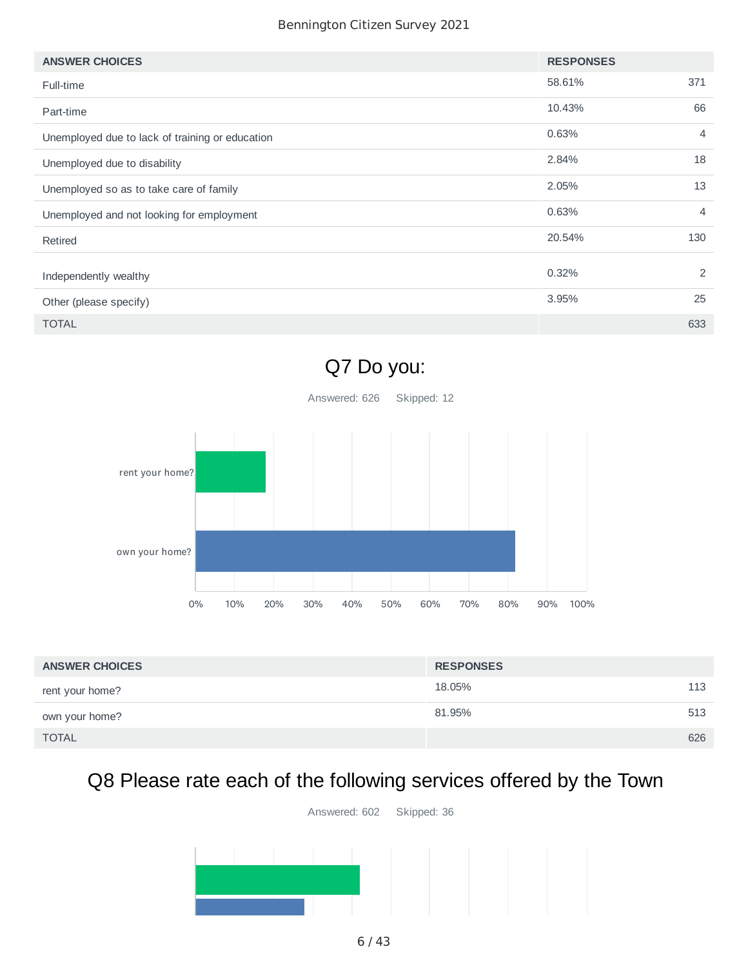| <b>ANSWER CHOICES</b>                           | <b>RESPONSES</b> |                |
|-------------------------------------------------|------------------|----------------|
| Full-time                                       | 58.61%           | 371            |
| Part-time                                       | 10.43%           | 66             |
| Unemployed due to lack of training or education | 0.63%            | $\overline{4}$ |
| Unemployed due to disability                    | 2.84%            | 18             |
| Unemployed so as to take care of family         | 2.05%            | 13             |
| Unemployed and not looking for employment       | 0.63%            | $\overline{4}$ |
| Retired                                         | 20.54%           | 130            |
| Independently wealthy                           | 0.32%            | 2              |
| Other (please specify)                          | 3.95%            | 25             |
| <b>TOTAL</b>                                    |                  | 633            |



| <b>ANSWER CHOICES</b> | <b>RESPONSES</b> |     |
|-----------------------|------------------|-----|
| rent your home?       | 18.05%           | 113 |
| own your home?        | 81.95%           | 513 |
| <b>TOTAL</b>          |                  | 626 |

# Q8 Please rate each of the following services offered by the Town

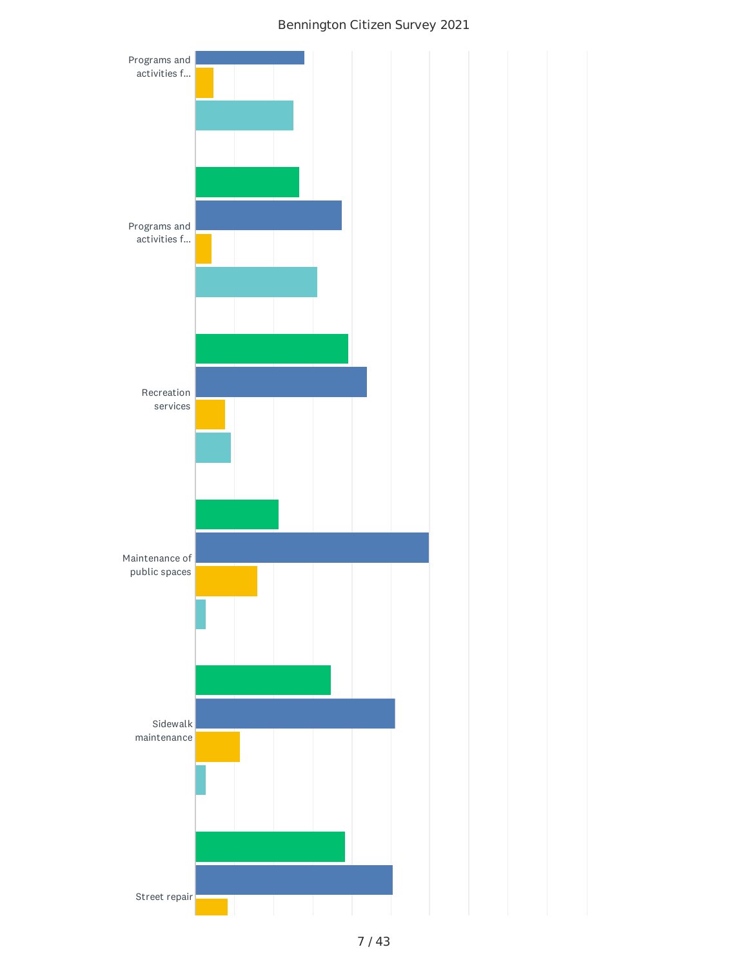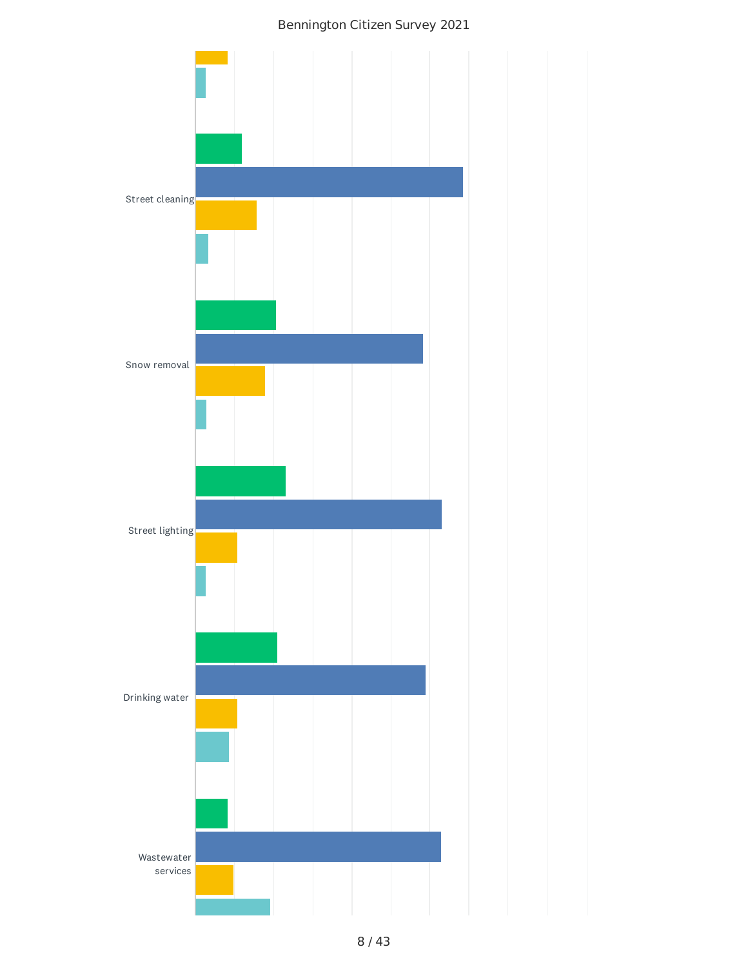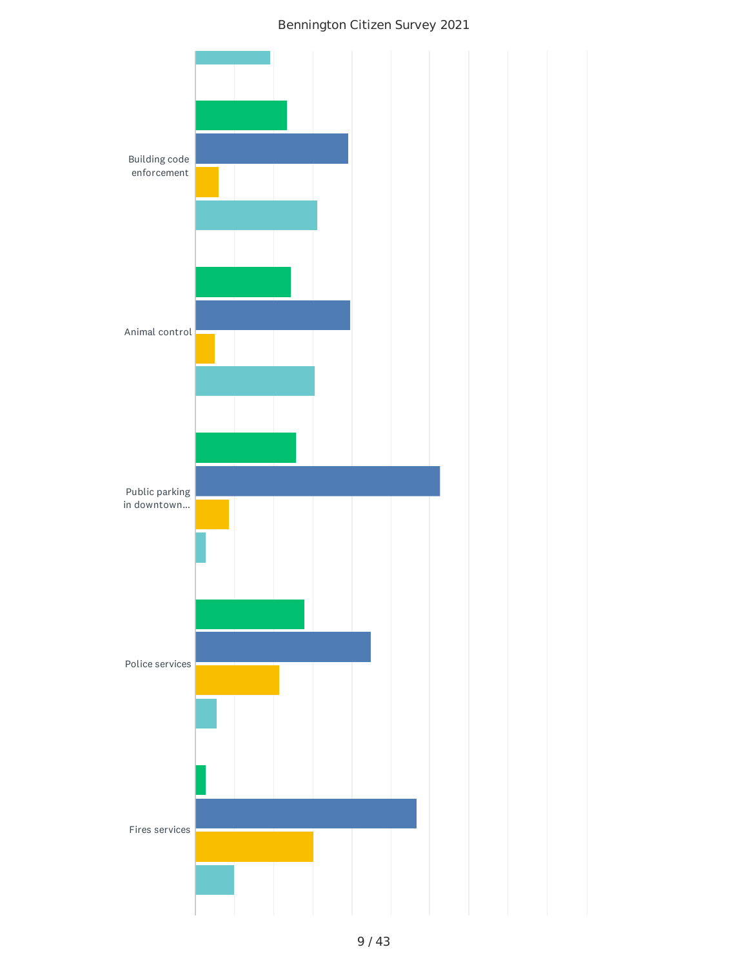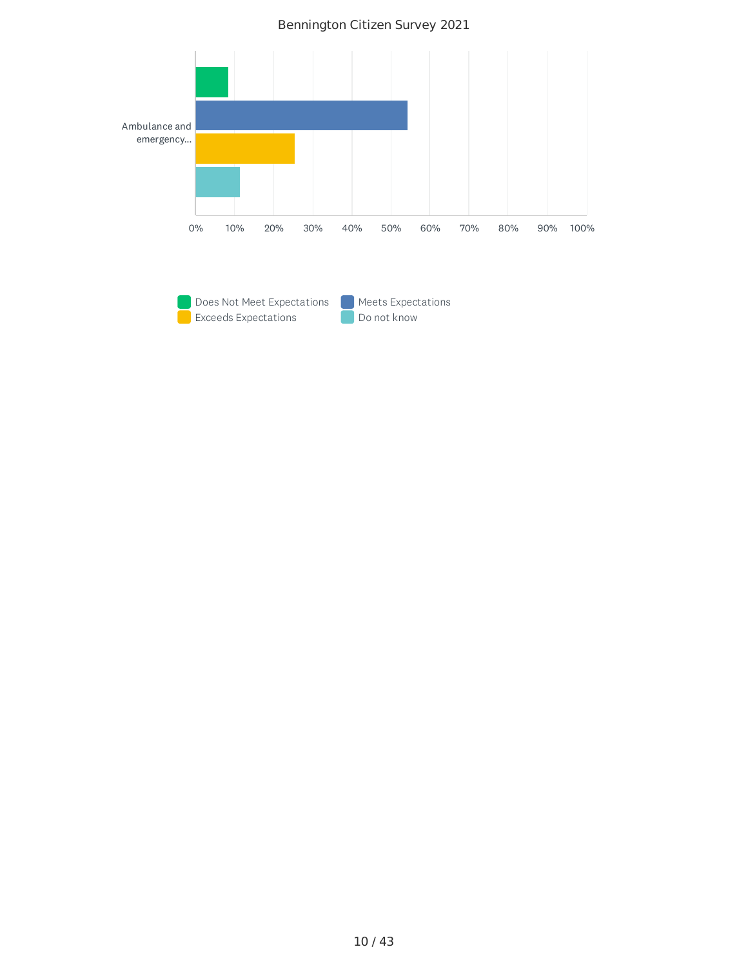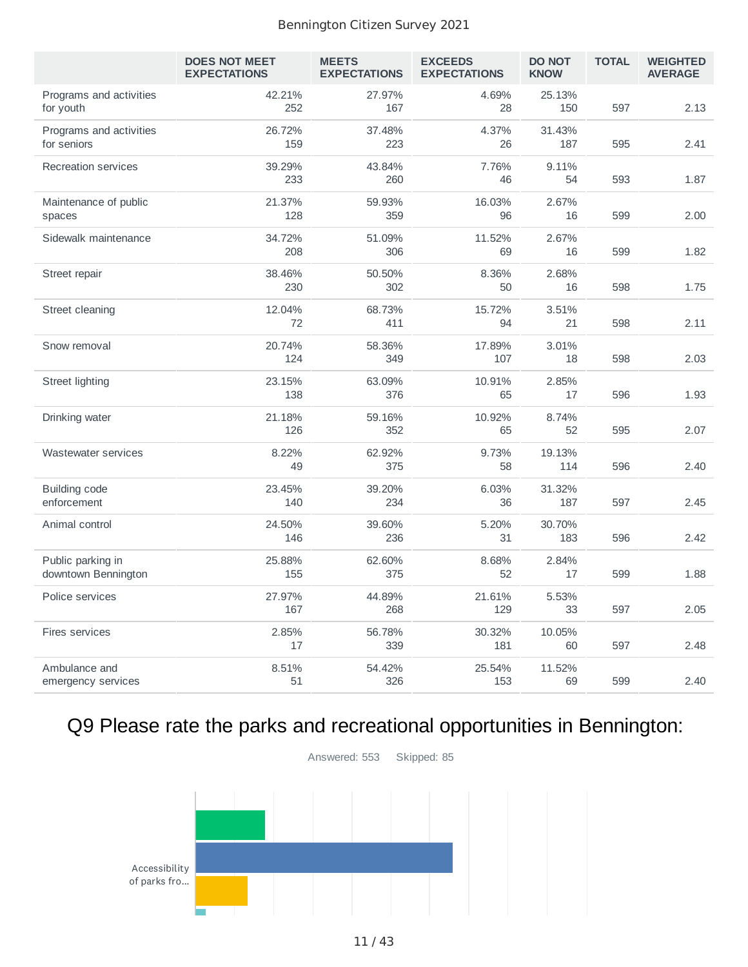|                                          | <b>DOES NOT MEET</b><br><b>EXPECTATIONS</b> | <b>MEETS</b><br><b>EXPECTATIONS</b> | <b>EXCEEDS</b><br><b>EXPECTATIONS</b> | <b>DO NOT</b><br><b>KNOW</b> | <b>TOTAL</b> | <b>WEIGHTED</b><br><b>AVERAGE</b> |
|------------------------------------------|---------------------------------------------|-------------------------------------|---------------------------------------|------------------------------|--------------|-----------------------------------|
| Programs and activities<br>for youth     | 42.21%<br>252                               | 27.97%<br>167                       | 4.69%<br>28                           | 25.13%<br>150                | 597          | 2.13                              |
| Programs and activities<br>for seniors   | 26.72%<br>159                               | 37.48%<br>223                       | 4.37%<br>26                           | 31.43%<br>187                | 595          | 2.41                              |
| Recreation services                      | 39.29%<br>233                               | 43.84%<br>260                       | 7.76%<br>46                           | 9.11%<br>54                  | 593          | 1.87                              |
| Maintenance of public<br>spaces          | 21.37%<br>128                               | 59.93%<br>359                       | 16.03%<br>96                          | 2.67%<br>16                  | 599          | 2.00                              |
| Sidewalk maintenance                     | 34.72%<br>208                               | 51.09%<br>306                       | 11.52%<br>69                          | 2.67%<br>16                  | 599          | 1.82                              |
| Street repair                            | 38.46%<br>230                               | 50.50%<br>302                       | 8.36%<br>50                           | 2.68%<br>16                  | 598          | 1.75                              |
| Street cleaning                          | 12.04%<br>72                                | 68.73%<br>411                       | 15.72%<br>94                          | 3.51%<br>21                  | 598          | 2.11                              |
| Snow removal                             | 20.74%<br>124                               | 58.36%<br>349                       | 17.89%<br>107                         | 3.01%<br>18                  | 598          | 2.03                              |
| <b>Street lighting</b>                   | 23.15%<br>138                               | 63.09%<br>376                       | 10.91%<br>65                          | 2.85%<br>17                  | 596          | 1.93                              |
| Drinking water                           | 21.18%<br>126                               | 59.16%<br>352                       | 10.92%<br>65                          | 8.74%<br>52                  | 595          | 2.07                              |
| Wastewater services                      | 8.22%<br>49                                 | 62.92%<br>375                       | 9.73%<br>58                           | 19.13%<br>114                | 596          | 2.40                              |
| <b>Building code</b><br>enforcement      | 23.45%<br>140                               | 39.20%<br>234                       | 6.03%<br>36                           | 31.32%<br>187                | 597          | 2.45                              |
| Animal control                           | 24.50%<br>146                               | 39.60%<br>236                       | 5.20%<br>31                           | 30.70%<br>183                | 596          | 2.42                              |
| Public parking in<br>downtown Bennington | 25.88%<br>155                               | 62.60%<br>375                       | 8.68%<br>52                           | 2.84%<br>17                  | 599          | 1.88                              |
| Police services                          | 27.97%<br>167                               | 44.89%<br>268                       | 21.61%<br>129                         | 5.53%<br>33                  | 597          | 2.05                              |
| Fires services                           | 2.85%<br>17                                 | 56.78%<br>339                       | 30.32%<br>181                         | 10.05%<br>60                 | 597          | 2.48                              |
| Ambulance and<br>emergency services      | 8.51%<br>51                                 | 54.42%<br>326                       | 25.54%<br>153                         | 11.52%<br>69                 | 599          | 2.40                              |

# Q9 Please rate the parks and recreational opportunities in Bennington:

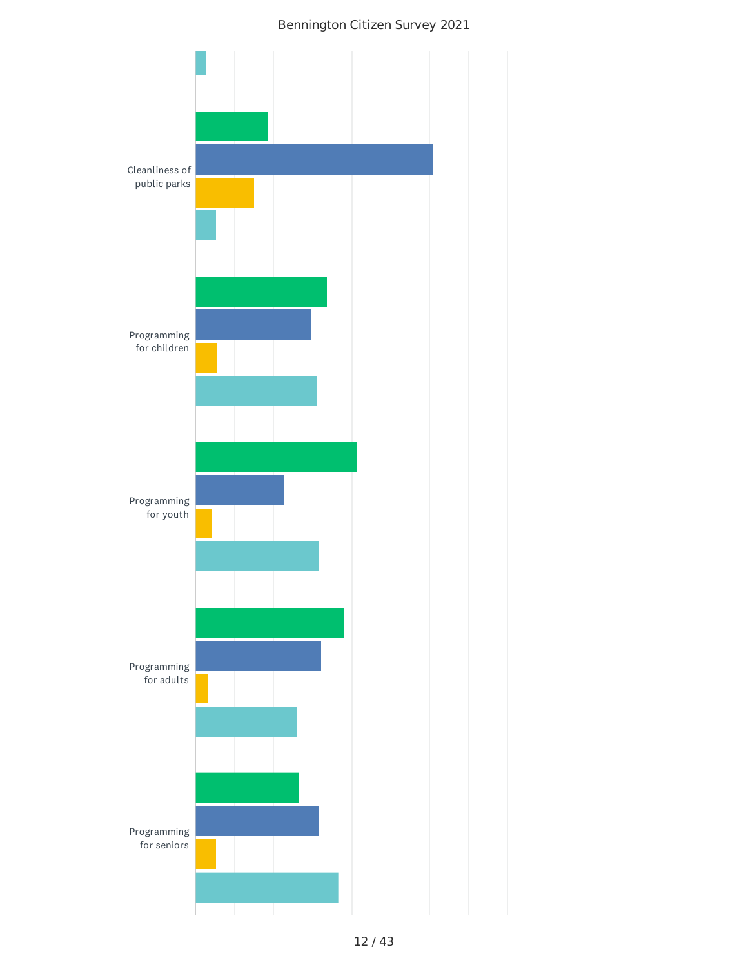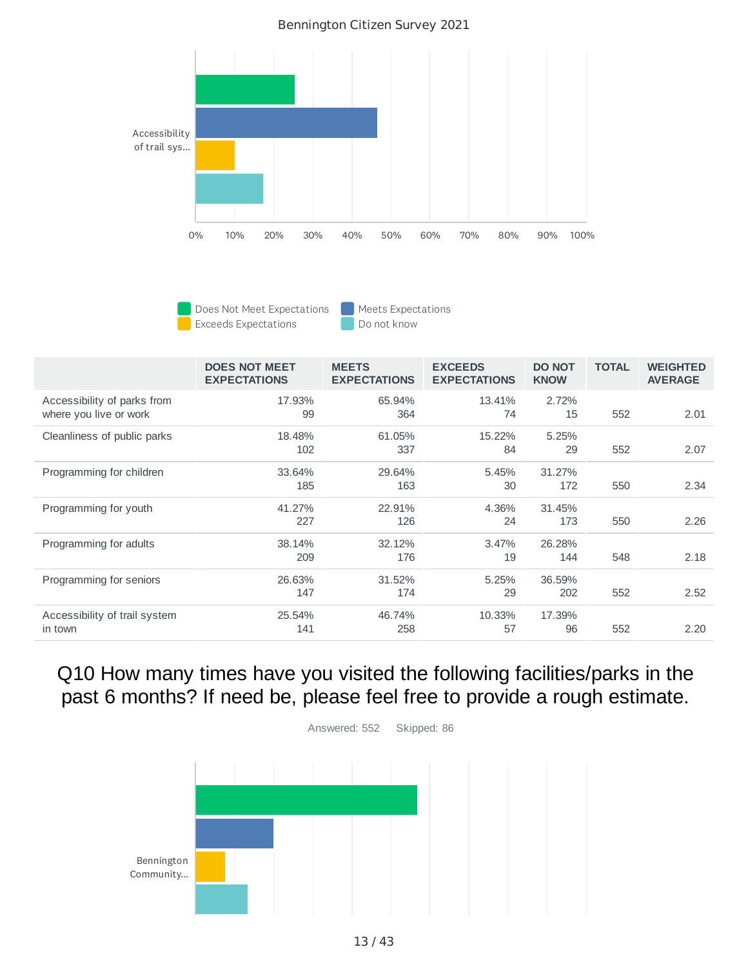

Does Not Meet Expectations **Meets** Expectations **Exceeds Expectations Do not know** 

|                                                       | <b>DOES NOT MEET</b><br><b>EXPECTATIONS</b> | <b>MEETS</b><br><b>EXPECTATIONS</b> | <b>EXCEEDS</b><br><b>EXPECTATIONS</b> | <b>DO NOT</b><br><b>KNOW</b> | <b>TOTAL</b> | <b>WEIGHTED</b><br><b>AVERAGE</b> |
|-------------------------------------------------------|---------------------------------------------|-------------------------------------|---------------------------------------|------------------------------|--------------|-----------------------------------|
| Accessibility of parks from<br>where you live or work | 17.93%<br>99                                | 65.94%<br>364                       | 13.41%<br>74                          | 2.72%<br>15                  | 552          | 2.01                              |
| Cleanliness of public parks                           | 18.48%<br>102                               | 61.05%<br>337                       | 15.22%<br>84                          | 5.25%<br>29                  | 552          | 2.07                              |
| Programming for children                              | 33.64%<br>185                               | 29.64%<br>163                       | 5.45%<br>30                           | 31.27%<br>172                | 550          | 2.34                              |
| Programming for youth                                 | 41.27%<br>227                               | 22.91%<br>126                       | 4.36%<br>24                           | 31.45%<br>173                | 550          | 2.26                              |
| Programming for adults                                | 38.14%<br>209                               | 32.12%<br>176                       | 3.47%<br>19                           | 26.28%<br>144                | 548          | 2.18                              |
| Programming for seniors                               | 26.63%<br>147                               | 31.52%<br>174                       | 5.25%<br>29                           | 36.59%<br>202                | 552          | 2.52                              |
| Accessibility of trail system<br>in town              | 25.54%<br>141                               | 46.74%<br>258                       | 10.33%<br>57                          | 17.39%<br>96                 | 552          | 2.20                              |

### Q10 How many times have you visited the following facilities/parks in the past 6 months? If need be, please feel free to provide a rough estimate.



Answered: 552 Skipped: 86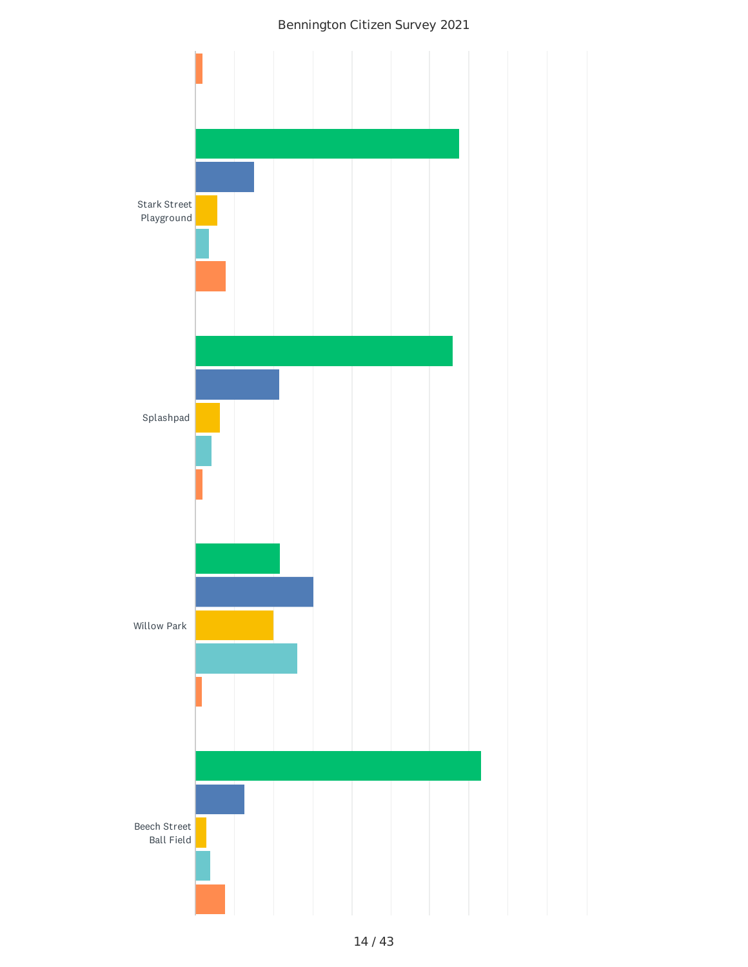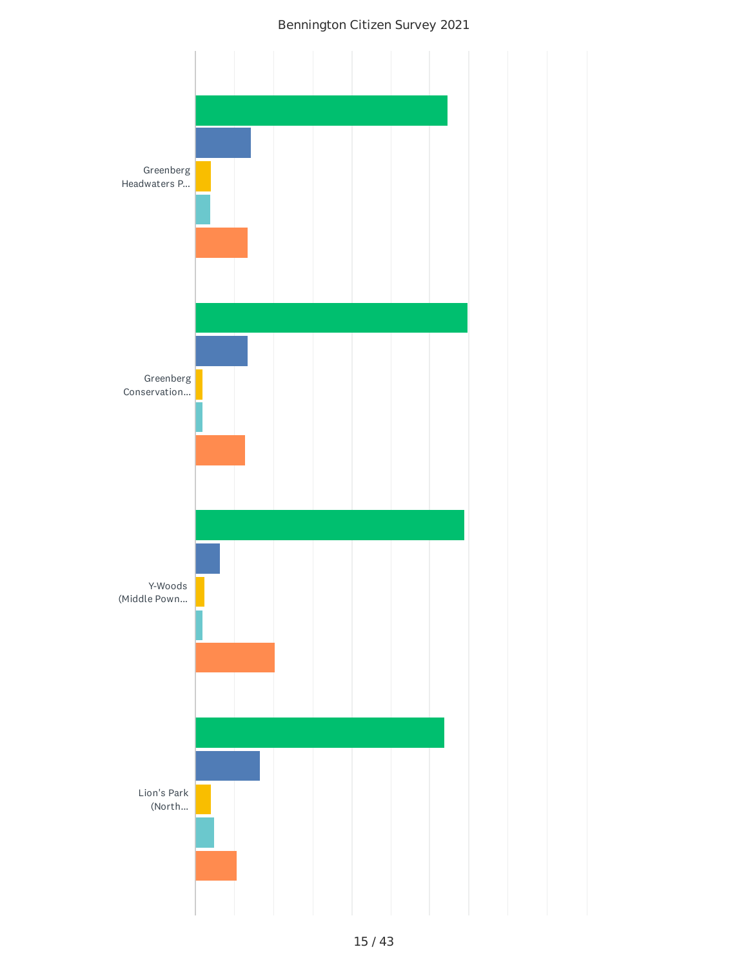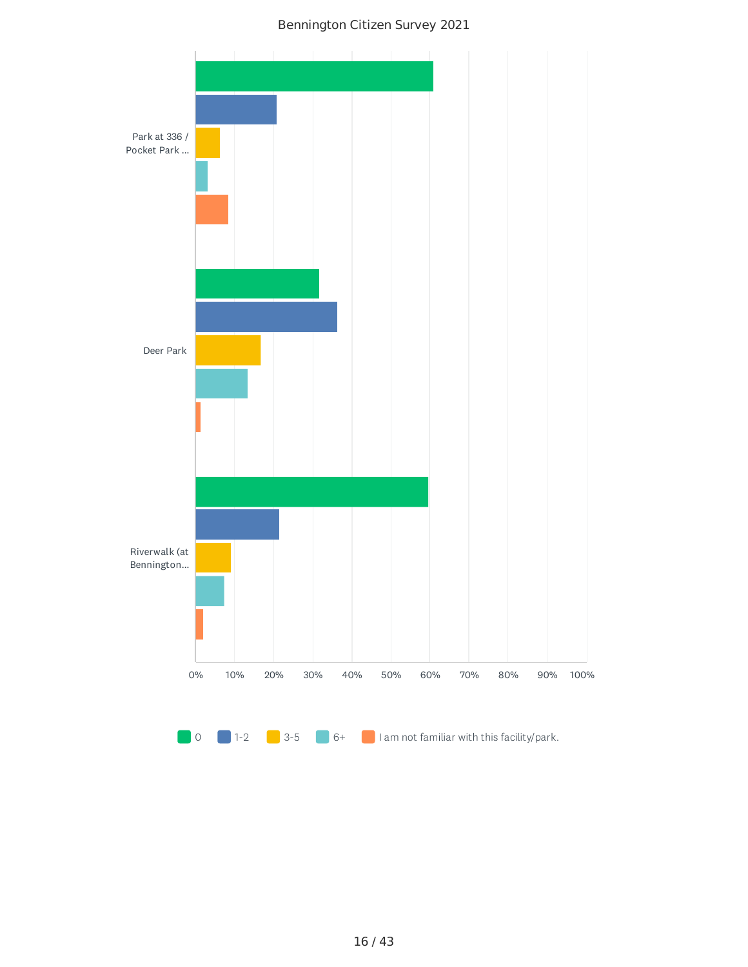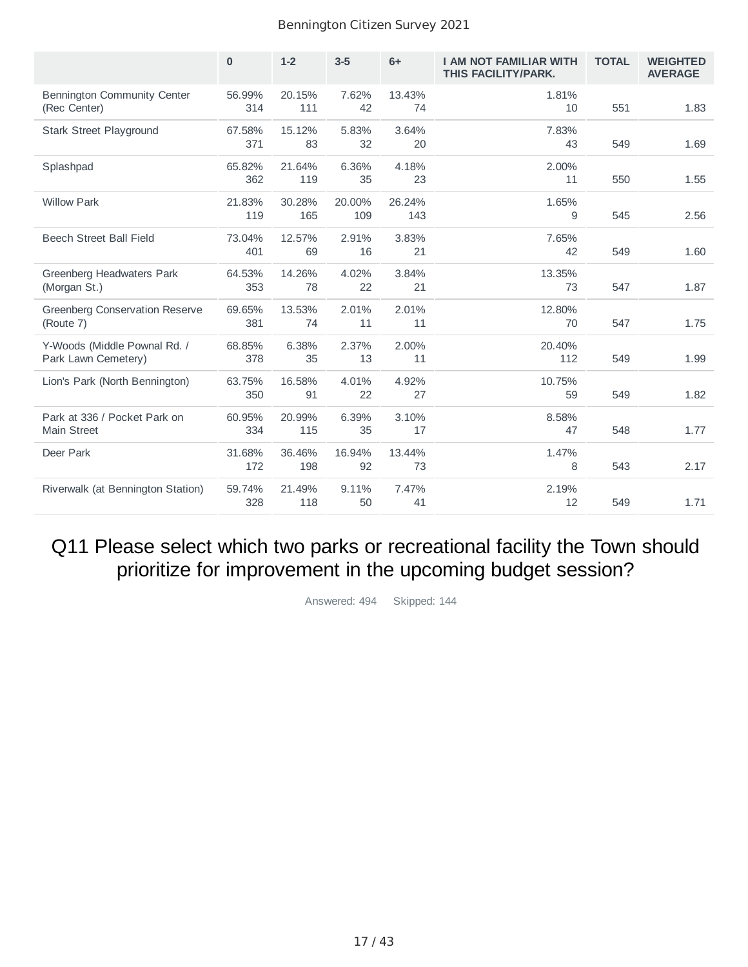|                                                     | $\bf{0}$      | $1 - 2$       | $3-5$         | $6+$          | <b>I AM NOT FAMILIAR WITH</b><br>THIS FACILITY/PARK. | <b>TOTAL</b> | <b>WEIGHTED</b><br><b>AVERAGE</b> |
|-----------------------------------------------------|---------------|---------------|---------------|---------------|------------------------------------------------------|--------------|-----------------------------------|
| <b>Bennington Community Center</b><br>(Rec Center)  | 56.99%<br>314 | 20.15%<br>111 | 7.62%<br>42   | 13.43%<br>74  | 1.81%<br>10                                          | 551          | 1.83                              |
| Stark Street Playground                             | 67.58%<br>371 | 15.12%<br>83  | 5.83%<br>32   | 3.64%<br>20   | 7.83%<br>43                                          | 549          | 1.69                              |
| Splashpad                                           | 65.82%<br>362 | 21.64%<br>119 | 6.36%<br>35   | 4.18%<br>23   | 2.00%<br>11                                          | 550          | 1.55                              |
| <b>Willow Park</b>                                  | 21.83%<br>119 | 30.28%<br>165 | 20.00%<br>109 | 26.24%<br>143 | 1.65%<br>9                                           | 545          | 2.56                              |
| Beech Street Ball Field                             | 73.04%<br>401 | 12.57%<br>69  | 2.91%<br>16   | 3.83%<br>21   | 7.65%<br>42                                          | 549          | 1.60                              |
| Greenberg Headwaters Park<br>(Morgan St.)           | 64.53%<br>353 | 14.26%<br>78  | 4.02%<br>22   | 3.84%<br>21   | 13.35%<br>73                                         | 547          | 1.87                              |
| Greenberg Conservation Reserve<br>(Route 7)         | 69.65%<br>381 | 13.53%<br>74  | 2.01%<br>11   | 2.01%<br>11   | 12.80%<br>70                                         | 547          | 1.75                              |
| Y-Woods (Middle Pownal Rd. /<br>Park Lawn Cemetery) | 68.85%<br>378 | 6.38%<br>35   | 2.37%<br>13   | 2.00%<br>11   | 20.40%<br>112                                        | 549          | 1.99                              |
| Lion's Park (North Bennington)                      | 63.75%<br>350 | 16.58%<br>91  | 4.01%<br>22   | 4.92%<br>27   | 10.75%<br>59                                         | 549          | 1.82                              |
| Park at 336 / Pocket Park on<br><b>Main Street</b>  | 60.95%<br>334 | 20.99%<br>115 | 6.39%<br>35   | 3.10%<br>17   | 8.58%<br>47                                          | 548          | 1.77                              |
| Deer Park                                           | 31.68%<br>172 | 36.46%<br>198 | 16.94%<br>92  | 13.44%<br>73  | 1.47%<br>8                                           | 543          | 2.17                              |
| Riverwalk (at Bennington Station)                   | 59.74%<br>328 | 21.49%<br>118 | 9.11%<br>50   | 7.47%<br>41   | 2.19%<br>12                                          | 549          | 1.71                              |

Q11 Please select which two parks or recreational facility the Town should prioritize for improvement in the upcoming budget session?

Answered: 494 Skipped: 144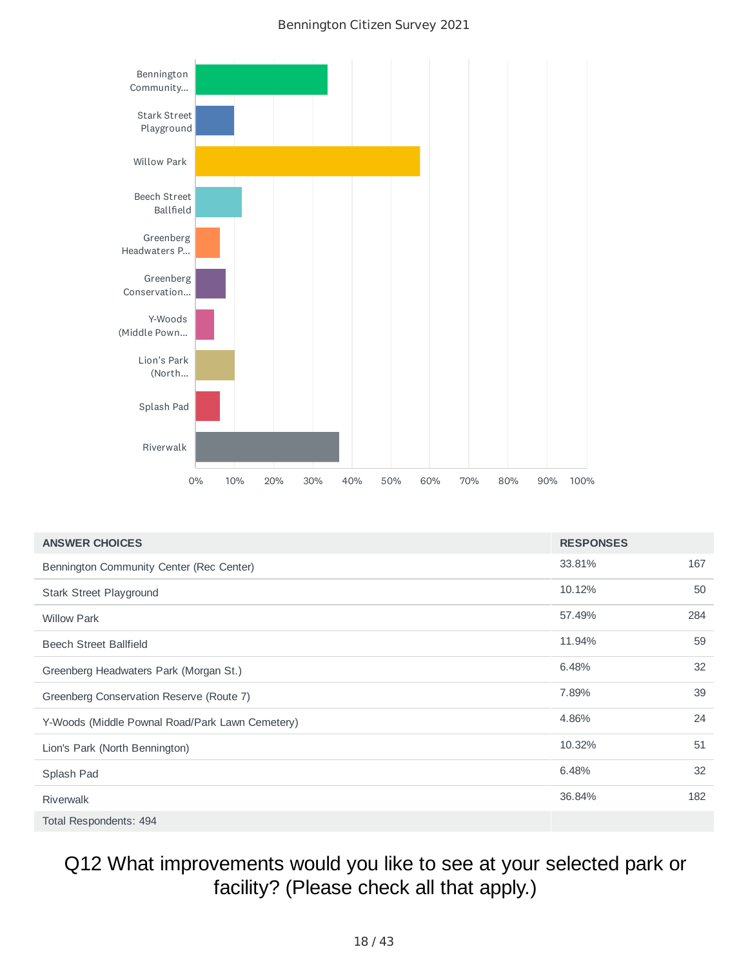

| <b>ANSWER CHOICES</b>                           | <b>RESPONSES</b> |     |
|-------------------------------------------------|------------------|-----|
| Bennington Community Center (Rec Center)        | 33.81%           | 167 |
| Stark Street Playground                         | 10.12%           | 50  |
| <b>Willow Park</b>                              | 57.49%           | 284 |
| <b>Beech Street Ballfield</b>                   | 11.94%           | 59  |
| Greenberg Headwaters Park (Morgan St.)          | 6.48%            | 32  |
| Greenberg Conservation Reserve (Route 7)        | 7.89%            | 39  |
| Y-Woods (Middle Pownal Road/Park Lawn Cemetery) | 4.86%            | 24  |
| Lion's Park (North Bennington)                  | 10.32%           | 51  |
| Splash Pad                                      | 6.48%            | 32  |
| <b>Riverwalk</b>                                | 36.84%           | 182 |
| Total Respondents: 494                          |                  |     |

## Q12 What improvements would you like to see at your selected park or facility? (Please check all that apply.)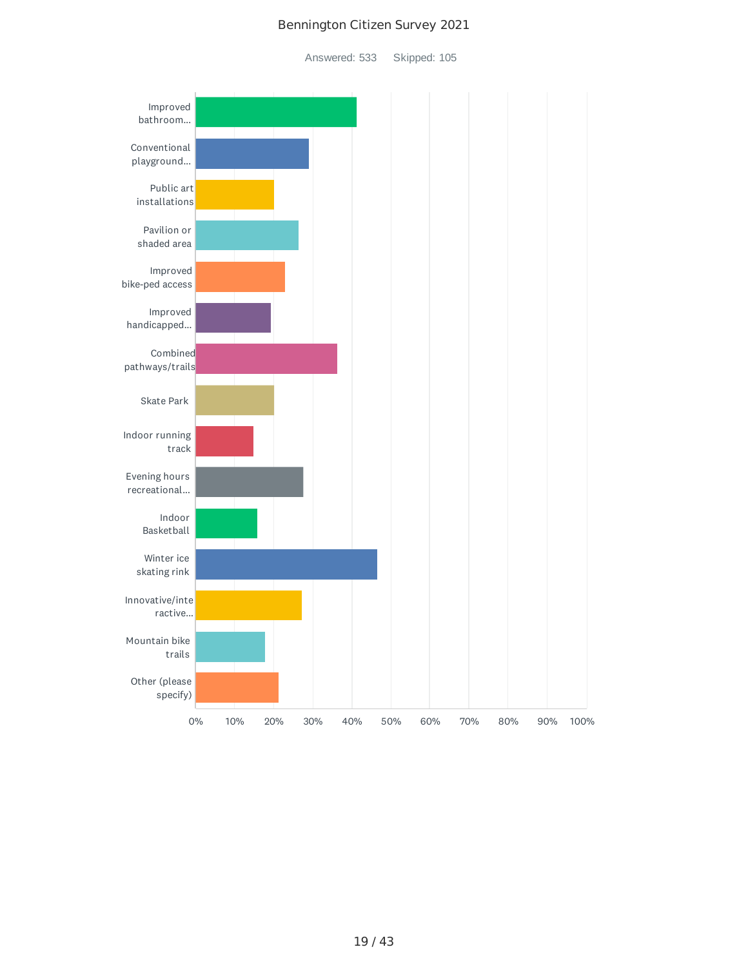Answered: 533 Skipped: 105

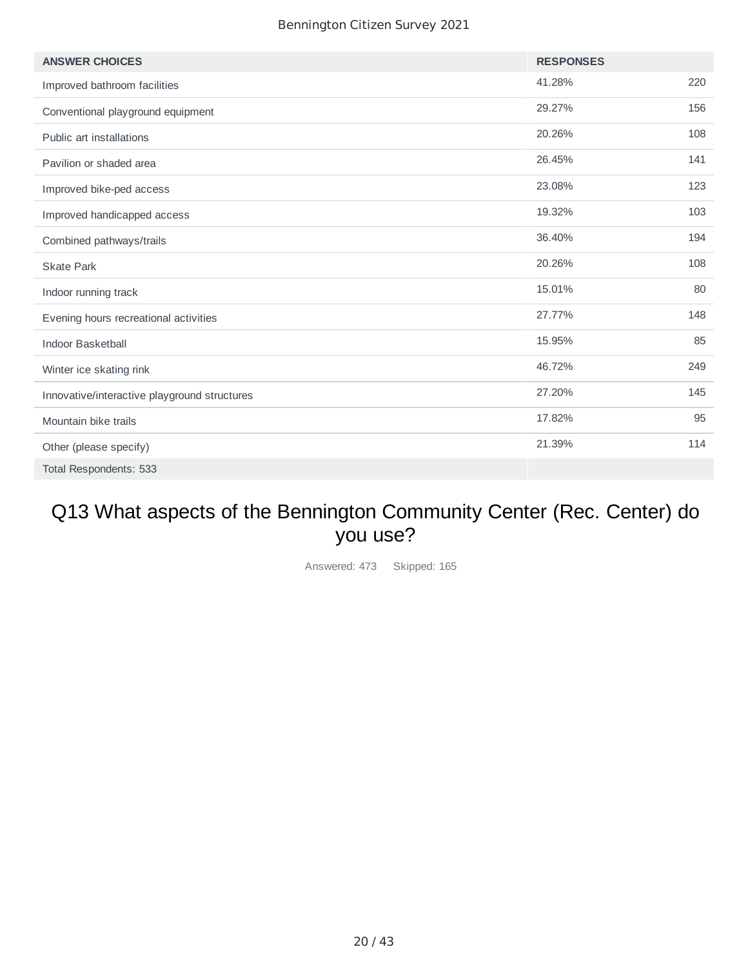| <b>ANSWER CHOICES</b>                        | <b>RESPONSES</b> |     |
|----------------------------------------------|------------------|-----|
| Improved bathroom facilities                 | 41.28%           | 220 |
| Conventional playground equipment            | 29.27%           | 156 |
| Public art installations                     | 20.26%           | 108 |
| Pavilion or shaded area                      | 26.45%           | 141 |
| Improved bike-ped access                     | 23.08%           | 123 |
| Improved handicapped access                  | 19.32%           | 103 |
| Combined pathways/trails                     | 36.40%           | 194 |
| <b>Skate Park</b>                            | 20.26%           | 108 |
| Indoor running track                         | 15.01%           | 80  |
| Evening hours recreational activities        | 27.77%           | 148 |
| <b>Indoor Basketball</b>                     | 15.95%           | 85  |
| Winter ice skating rink                      | 46.72%           | 249 |
| Innovative/interactive playground structures | 27.20%           | 145 |
| Mountain bike trails                         | 17.82%           | 95  |
| Other (please specify)                       | 21.39%           | 114 |
| Total Respondents: 533                       |                  |     |

## Q13 What aspects of the Bennington Community Center (Rec. Center) do you use?

Answered: 473 Skipped: 165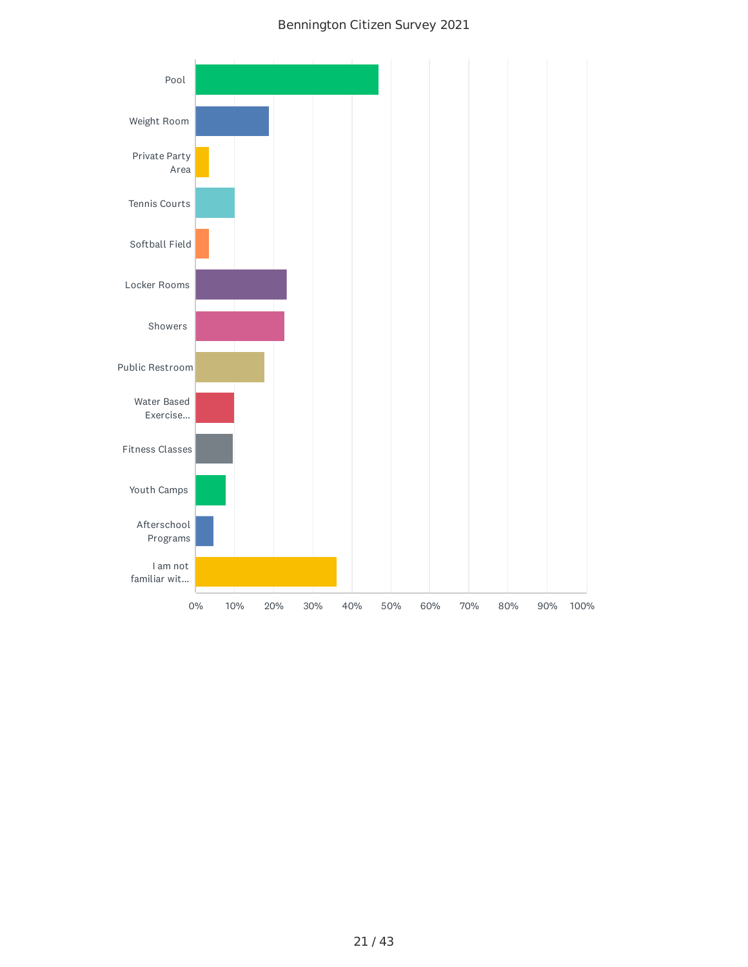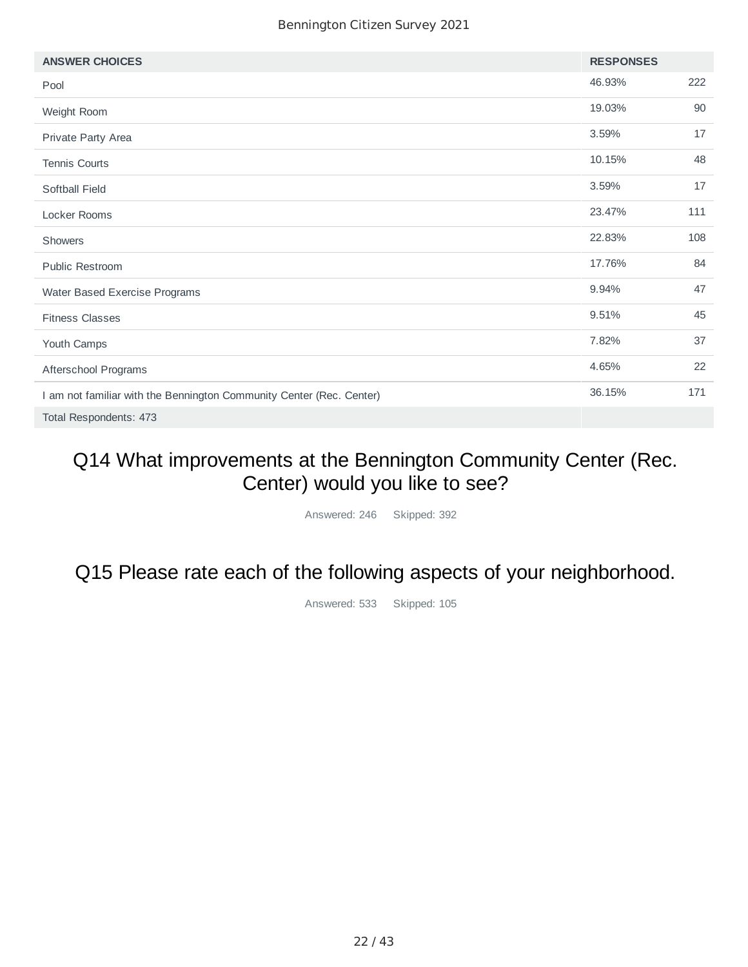| <b>ANSWER CHOICES</b>                                                | <b>RESPONSES</b> |     |
|----------------------------------------------------------------------|------------------|-----|
| Pool                                                                 | 46.93%           | 222 |
| Weight Room                                                          | 19.03%           | 90  |
| Private Party Area                                                   | 3.59%            | 17  |
| Tennis Courts                                                        | 10.15%           | 48  |
| Softball Field                                                       | 3.59%            | 17  |
| Locker Rooms                                                         | 23.47%           | 111 |
| Showers                                                              | 22.83%           | 108 |
| <b>Public Restroom</b>                                               | 17.76%           | 84  |
| Water Based Exercise Programs                                        | 9.94%            | 47  |
| <b>Fitness Classes</b>                                               | 9.51%            | 45  |
| Youth Camps                                                          | 7.82%            | 37  |
| Afterschool Programs                                                 | 4.65%            | 22  |
| I am not familiar with the Bennington Community Center (Rec. Center) | 36.15%           | 171 |
| Total Respondents: 473                                               |                  |     |

## Q14 What improvements at the Bennington Community Center (Rec. Center) would you like to see?

Answered: 246 Skipped: 392

Q15 Please rate each of the following aspects of your neighborhood.

Answered: 533 Skipped: 105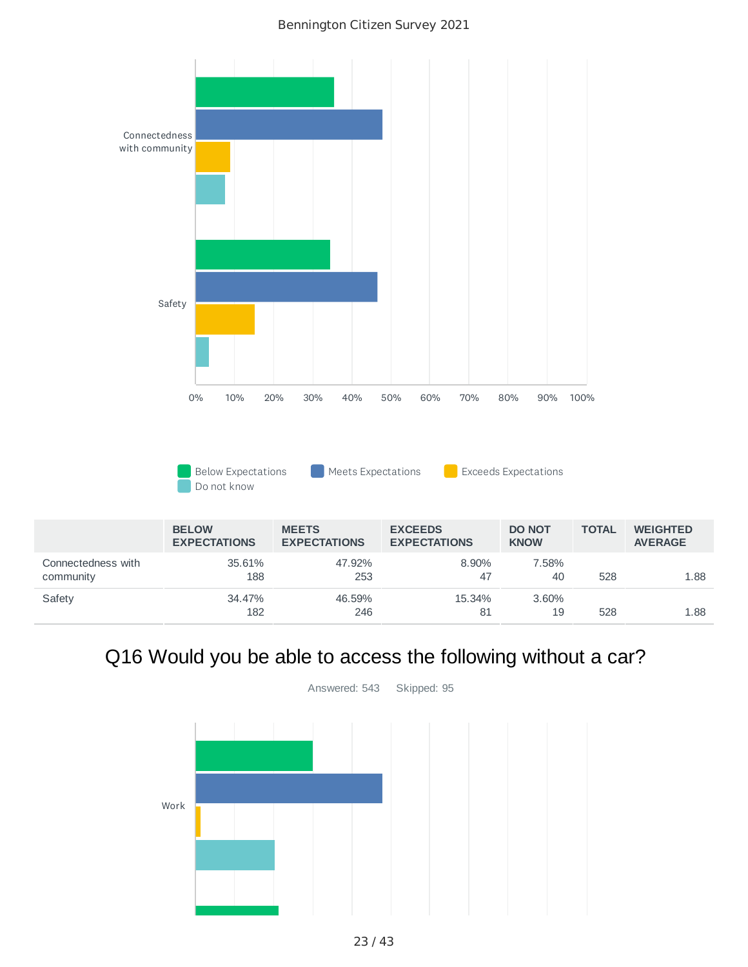

## Q16 Would you be able to access the following without a car?



Answered: 543 Skipped: 95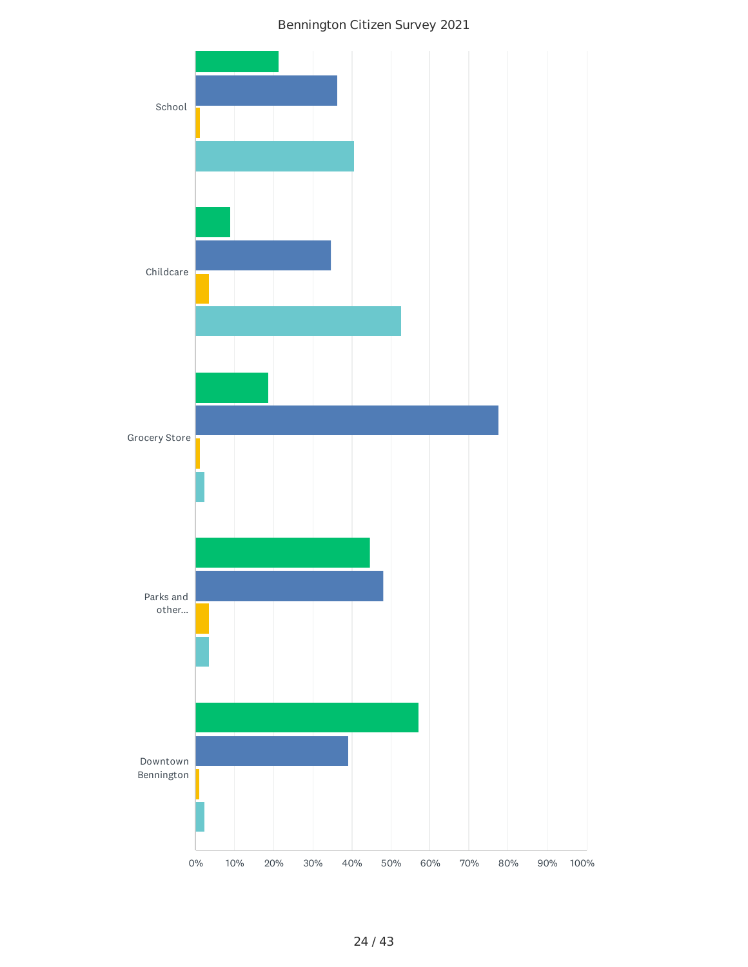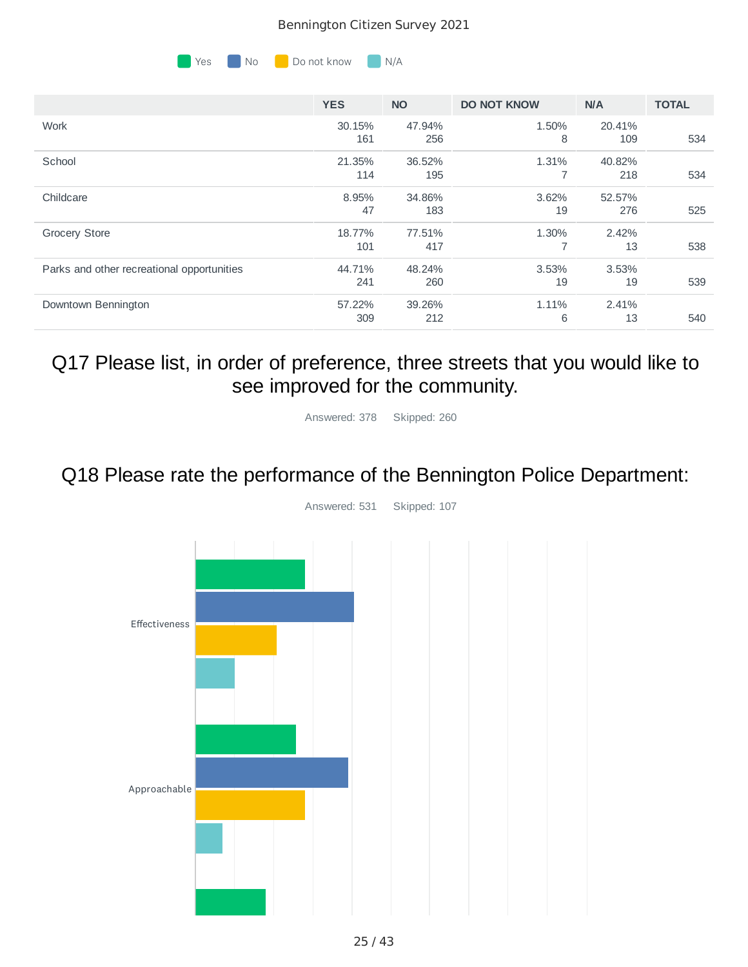

| <b>YES</b> | <b>NO</b> | <b>DO NOT KNOW</b> | N/A    | <b>TOTAL</b> |
|------------|-----------|--------------------|--------|--------------|
| 30.15%     | 47.94%    | 1.50%              | 20.41% |              |
|            |           |                    |        | 534          |
| 21.35%     | 36.52%    | 1.31%              | 40.82% |              |
| 114        | 195       |                    | 218    | 534          |
| 8.95%      | 34.86%    | 3.62%              | 52.57% |              |
| 47         | 183       | 19                 | 276    | 525          |
| 18.77%     | 77.51%    | 1.30%              | 2.42%  |              |
| 101        | 417       | 7                  | 13     | 538          |
| 44.71%     | 48.24%    | 3.53%              | 3.53%  |              |
| 241        | 260       | 19                 | 19     | 539          |
| 57.22%     | 39.26%    | 1.11%              | 2.41%  |              |
| 309        | 212       | 6                  | 13     | 540          |
|            | 161       | 256                | 8      | 109          |

### Q17 Please list, in order of preference, three streets that you would like to see improved for the community.

Answered: 378 Skipped: 260

## Q18 Please rate the performance of the Bennington Police Department:



Answered: 531 Skipped: 107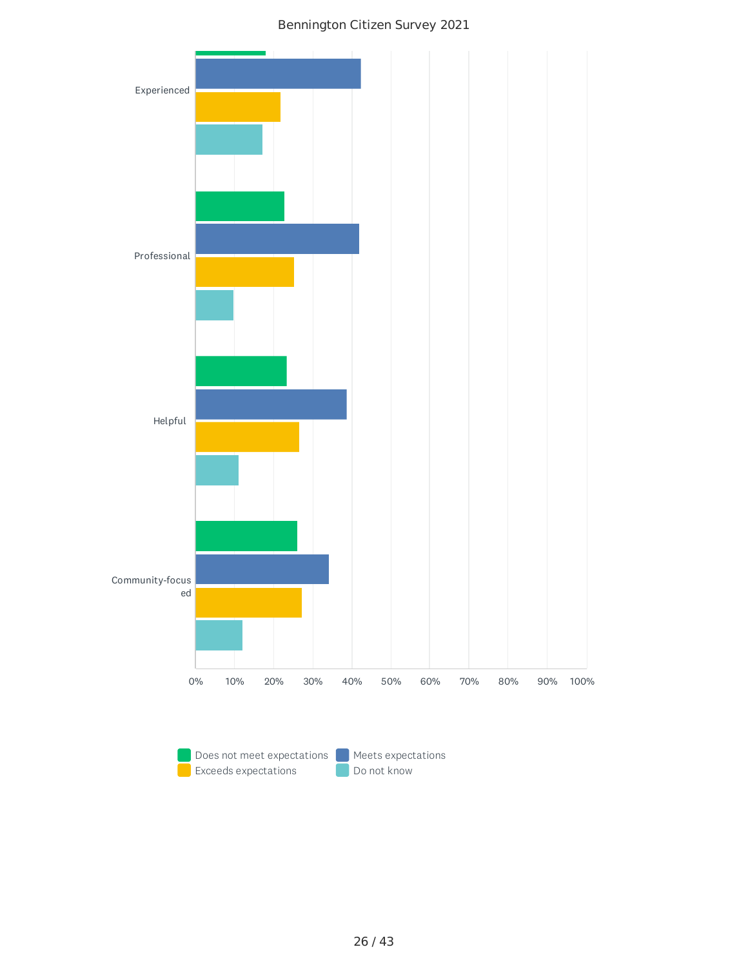

Exceeds expectations **Department Constructs** Do not know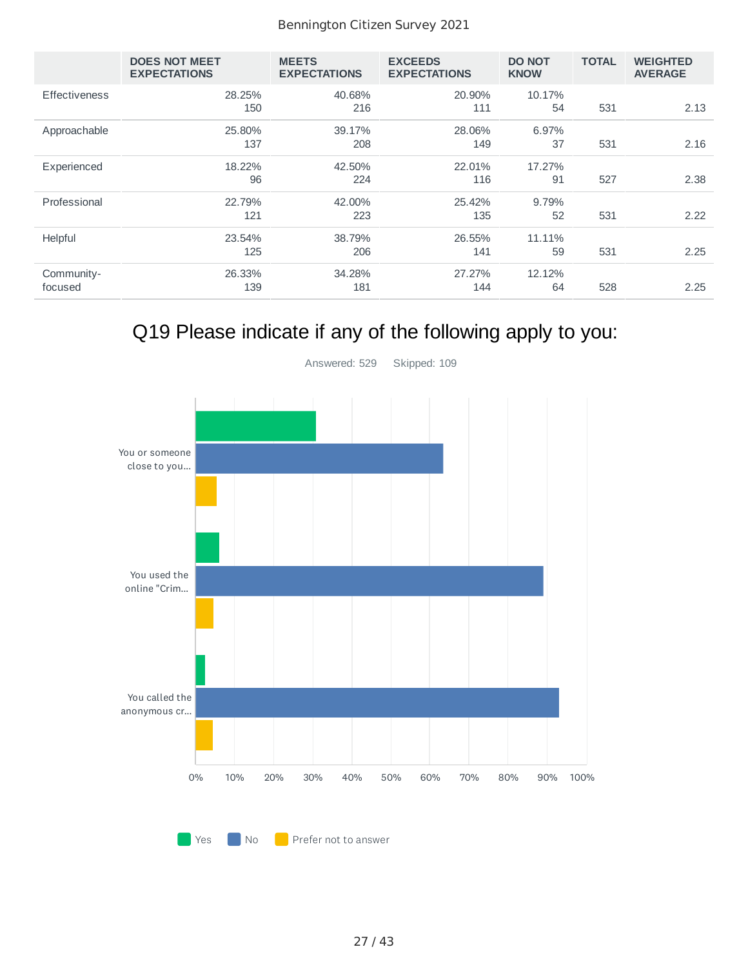|                       | <b>DOES NOT MEET</b><br><b>EXPECTATIONS</b> | <b>MEETS</b><br><b>EXPECTATIONS</b> | <b>EXCEEDS</b><br><b>EXPECTATIONS</b> | <b>DO NOT</b><br><b>KNOW</b> | <b>TOTAL</b> | <b>WEIGHTED</b><br><b>AVERAGE</b> |
|-----------------------|---------------------------------------------|-------------------------------------|---------------------------------------|------------------------------|--------------|-----------------------------------|
| <b>Effectiveness</b>  | 28.25%<br>150                               | 40.68%<br>216                       | 20.90%<br>111                         | 10.17%<br>54                 | 531          | 2.13                              |
| Approachable          | 25.80%<br>137                               | 39.17%<br>208                       | 28.06%<br>149                         | 6.97%<br>37                  | 531          | 2.16                              |
| Experienced           | 18.22%<br>96                                | 42.50%<br>224                       | 22.01%<br>116                         | 17.27%<br>91                 | 527          | 2.38                              |
| Professional          | 22.79%<br>121                               | 42.00%<br>223                       | 25.42%<br>135                         | 9.79%<br>52                  | 531          | 2.22                              |
| Helpful               | 23.54%<br>125                               | 38.79%<br>206                       | 26.55%<br>141                         | 11.11%<br>59                 | 531          | 2.25                              |
| Community-<br>focused | 26.33%<br>139                               | 34.28%<br>181                       | 27.27%<br>144                         | 12.12%<br>64                 | 528          | 2.25                              |

# Q19 Please indicate if any of the following apply to you:

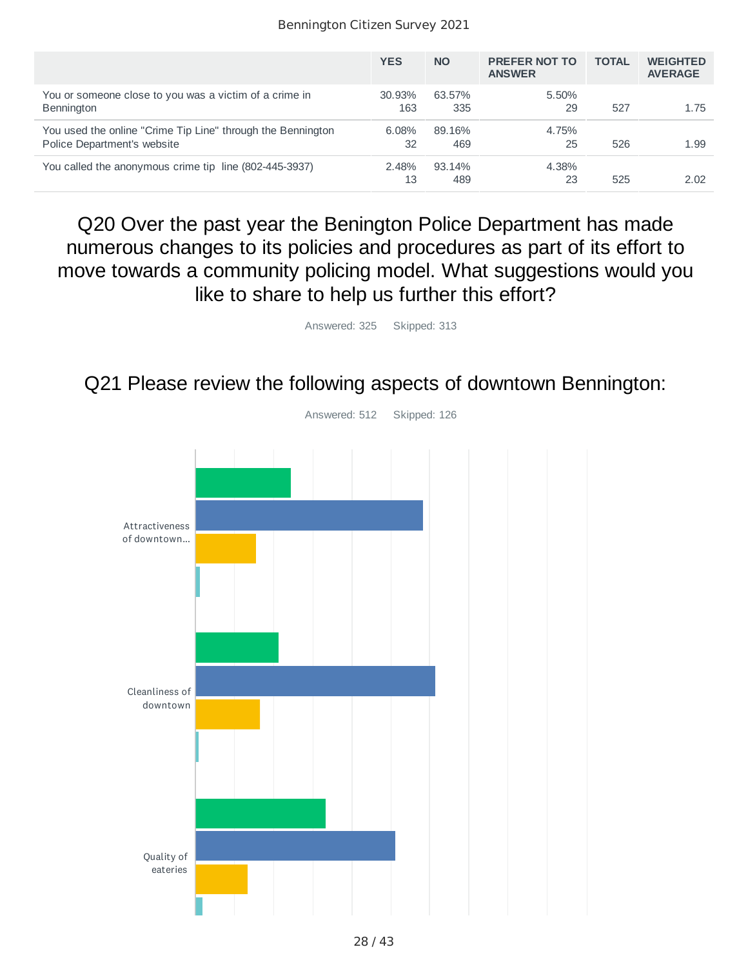|                                                                                            | <b>YES</b>     | <b>NO</b>     | <b>PREFER NOT TO</b><br><b>ANSWER</b> | <b>TOTAL</b> | <b>WEIGHTED</b><br><b>AVERAGE</b> |
|--------------------------------------------------------------------------------------------|----------------|---------------|---------------------------------------|--------------|-----------------------------------|
| You or someone close to you was a victim of a crime in<br><b>Bennington</b>                | 30.93%<br>163  | 63.57%<br>335 | 5.50%<br>29                           | 527          | 1.75                              |
| You used the online "Crime Tip Line" through the Bennington<br>Police Department's website | $6.08\%$<br>32 | 89.16%<br>469 | 4.75%<br>25                           | 526          | 1.99                              |
| You called the anonymous crime tip line (802-445-3937)                                     | 2.48%<br>13    | 93.14%<br>489 | 4.38%<br>23                           | 525          | 2.02                              |

Q20 Over the past year the Benington Police Department has made numerous changes to its policies and procedures as part of its effort to move towards a community policing model. What suggestions would you like to share to help us further this effort?

Answered: 325 Skipped: 313

Q21 Please review the following aspects of downtown Bennington:



28 / 43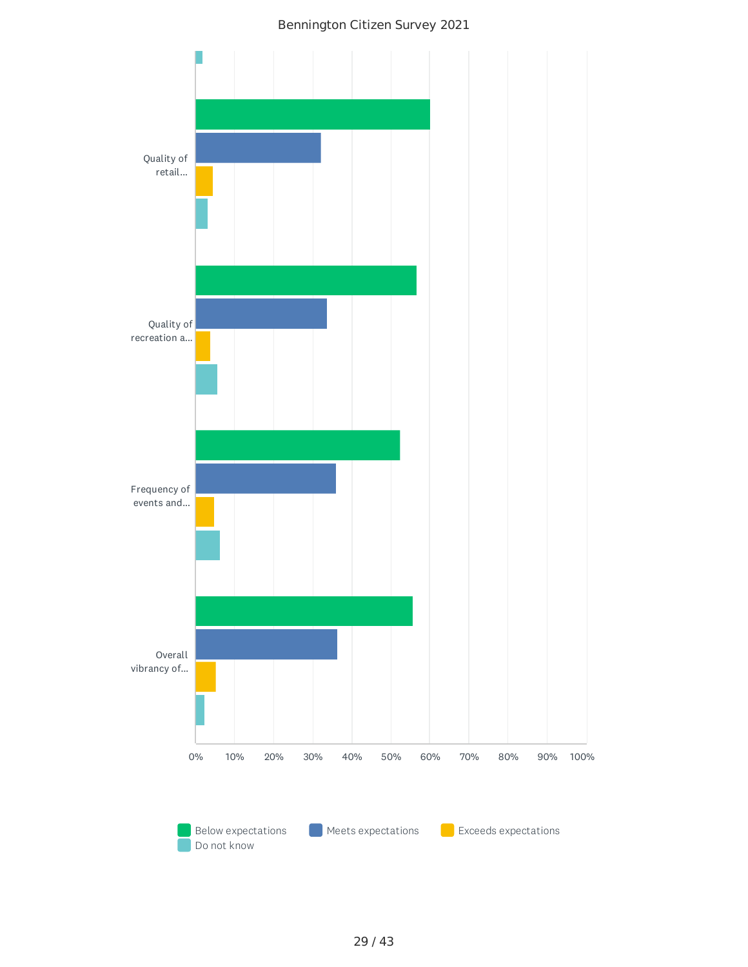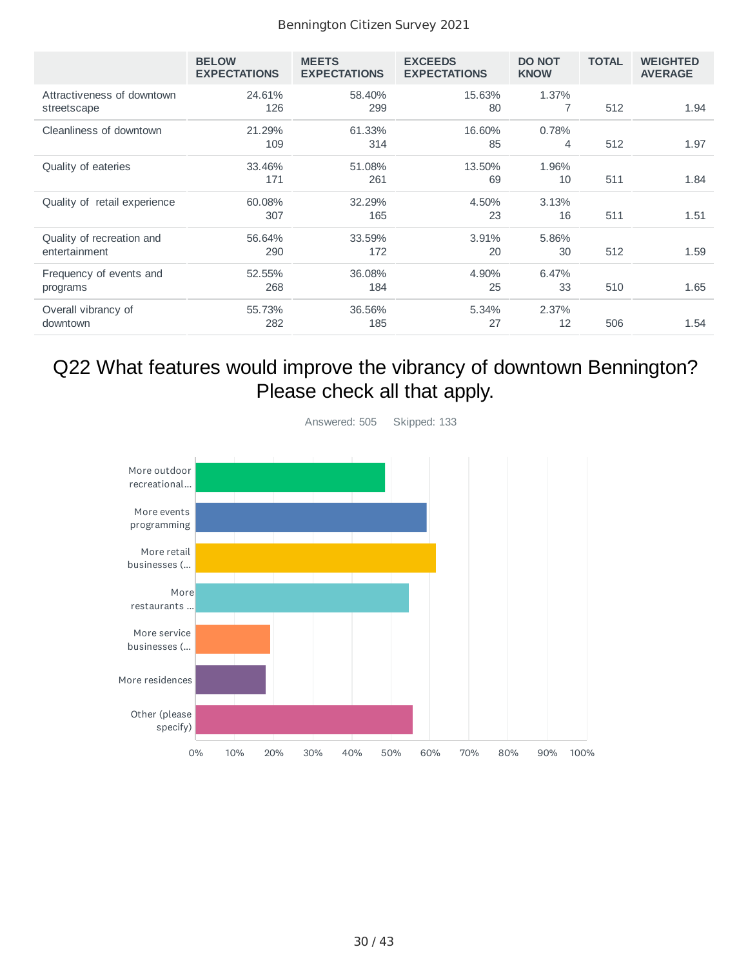|                                            | <b>BELOW</b><br><b>EXPECTATIONS</b> | <b>MEETS</b><br><b>EXPECTATIONS</b> | <b>EXCEEDS</b><br><b>EXPECTATIONS</b> | <b>DO NOT</b><br><b>KNOW</b> | <b>TOTAL</b> | <b>WEIGHTED</b><br><b>AVERAGE</b> |
|--------------------------------------------|-------------------------------------|-------------------------------------|---------------------------------------|------------------------------|--------------|-----------------------------------|
| Attractiveness of downtown<br>streetscape  | 24.61%<br>126                       | 58.40%<br>299                       | 15.63%<br>80                          | 1.37%                        | 512          | 1.94                              |
| Cleanliness of downtown                    | 21.29%<br>109                       | 61.33%<br>314                       | 16.60%<br>85                          | 0.78%<br>4                   | 512          | 1.97                              |
| Quality of eateries                        | 33.46%<br>171                       | 51.08%<br>261                       | 13.50%<br>69                          | 1.96%<br>10                  | 511          | 1.84                              |
| Quality of retail experience               | 60.08%<br>307                       | 32.29%<br>165                       | 4.50%<br>23                           | 3.13%<br>16                  | 511          | 1.51                              |
| Quality of recreation and<br>entertainment | 56.64%<br>290                       | 33.59%<br>172                       | 3.91%<br>20                           | 5.86%<br>30                  | 512          | 1.59                              |
| Frequency of events and<br>programs        | 52.55%<br>268                       | 36.08%<br>184                       | 4.90%<br>25                           | 6.47%<br>33                  | 510          | 1.65                              |
| Overall vibrancy of<br>downtown            | 55.73%<br>282                       | 36.56%<br>185                       | 5.34%<br>27                           | 2.37%<br>12                  | 506          | 1.54                              |

## Q22 What features would improve the vibrancy of downtown Bennington? Please check all that apply.



30 / 43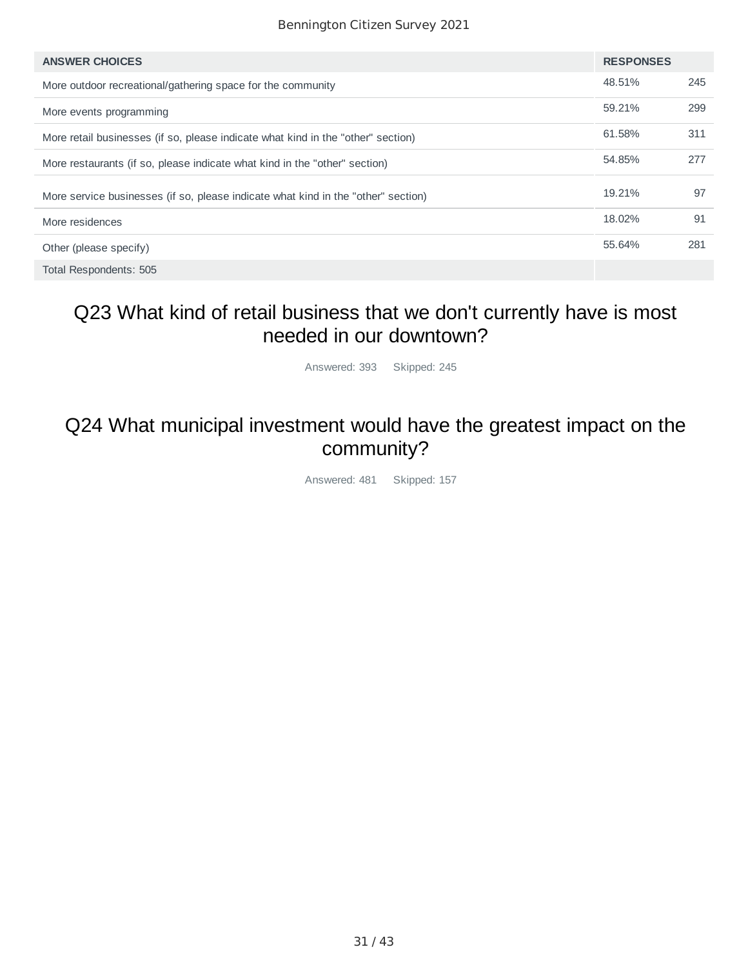| <b>ANSWER CHOICES</b>                                                             | <b>RESPONSES</b> |     |
|-----------------------------------------------------------------------------------|------------------|-----|
| More outdoor recreational/gathering space for the community                       | 48.51%           | 245 |
| More events programming                                                           | 59.21%           | 299 |
| More retail businesses (if so, please indicate what kind in the "other" section)  | 61.58%           | 311 |
| More restaurants (if so, please indicate what kind in the "other" section)        | 54.85%           | 277 |
| More service businesses (if so, please indicate what kind in the "other" section) | 19.21%           | 97  |
| More residences                                                                   | 18.02%           | 91  |
| Other (please specify)                                                            | 55.64%           | 281 |
| Total Respondents: 505                                                            |                  |     |

## Q23 What kind of retail business that we don't currently have is most needed in our downtown?

Answered: 393 Skipped: 245

### Q24 What municipal investment would have the greatest impact on the community?

Answered: 481 Skipped: 157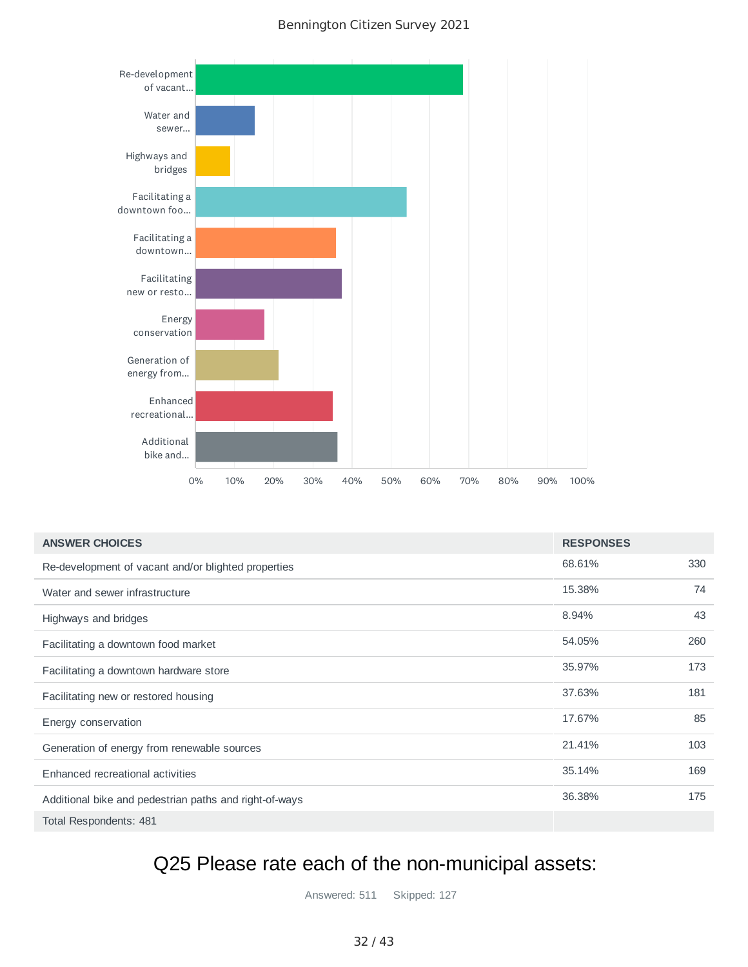

| <b>ANSWER CHOICES</b>                                  | <b>RESPONSES</b> |     |
|--------------------------------------------------------|------------------|-----|
| Re-development of vacant and/or blighted properties    | 68.61%           | 330 |
| Water and sewer infrastructure                         | 15.38%           | 74  |
| Highways and bridges                                   | 8.94%            | 43  |
| Facilitating a downtown food market                    | 54.05%           | 260 |
| Facilitating a downtown hardware store                 | 35.97%           | 173 |
| Facilitating new or restored housing                   | 37.63%           | 181 |
| Energy conservation                                    | 17.67%           | 85  |
| Generation of energy from renewable sources            | 21.41%           | 103 |
| Enhanced recreational activities                       | 35.14%           | 169 |
| Additional bike and pedestrian paths and right-of-ways | 36.38%           | 175 |
| Total Respondents: 481                                 |                  |     |

## Q25 Please rate each of the non-municipal assets:

Answered: 511 Skipped: 127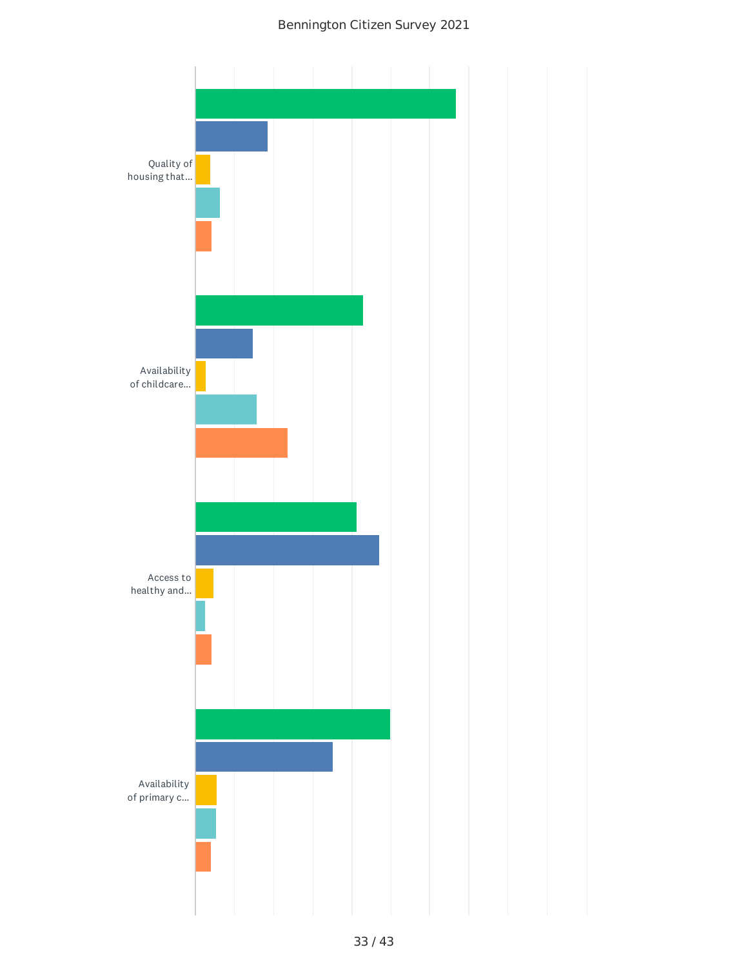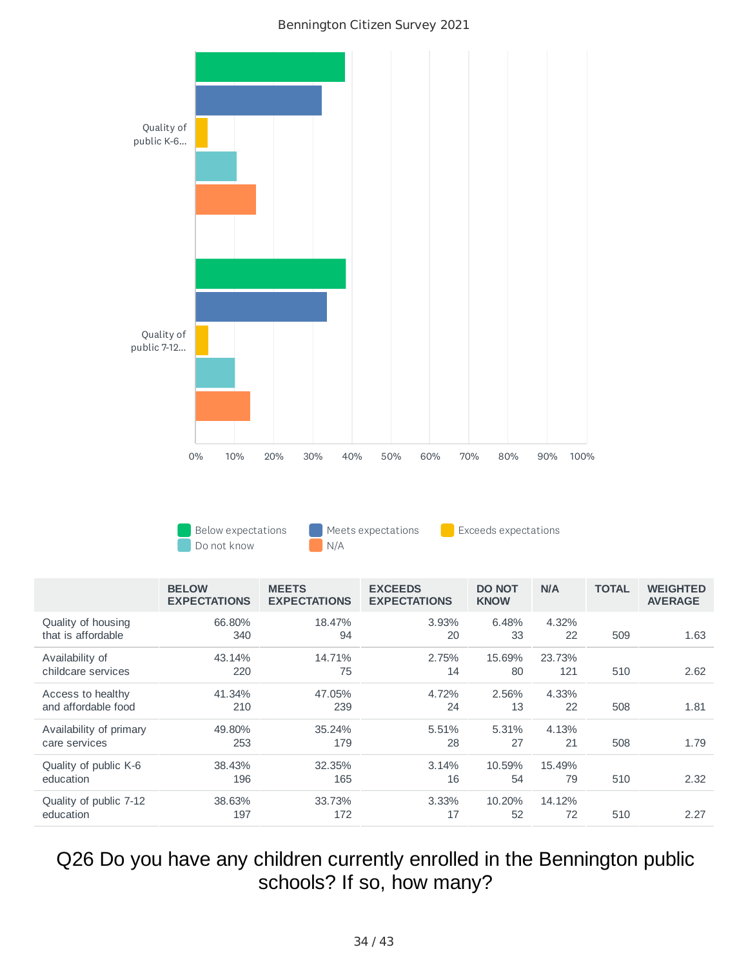

Below expectations **Meets expectations** Exceeds expectations Do not know N/A

|                                          | <b>BELOW</b><br><b>EXPECTATIONS</b> | <b>MEETS</b><br><b>EXPECTATIONS</b> | <b>EXCEEDS</b><br><b>EXPECTATIONS</b> | <b>DO NOT</b><br><b>KNOW</b> | <b>N/A</b>    | <b>TOTAL</b> | <b>WEIGHTED</b><br><b>AVERAGE</b> |
|------------------------------------------|-------------------------------------|-------------------------------------|---------------------------------------|------------------------------|---------------|--------------|-----------------------------------|
| Quality of housing<br>that is affordable | 66.80%<br>340                       | 18.47%<br>94                        | 3.93%<br>20                           | 6.48%<br>33                  | 4.32%<br>22   | 509          | 1.63                              |
| Availability of<br>childcare services    | 43.14%<br>220                       | 14.71%<br>75                        | 2.75%<br>14                           | 15.69%<br>80                 | 23.73%<br>121 | 510          | 2.62                              |
| Access to healthy<br>and affordable food | 41.34%<br>210                       | 47.05%<br>239                       | 4.72%<br>24                           | 2.56%<br>13                  | 4.33%<br>22   | 508          | 1.81                              |
| Availability of primary<br>care services | 49.80%<br>253                       | 35.24%<br>179                       | 5.51%<br>28                           | 5.31%<br>27                  | 4.13%<br>21   | 508          | 1.79                              |
| Quality of public K-6<br>education       | 38.43%<br>196                       | 32.35%<br>165                       | 3.14%<br>16                           | 10.59%<br>54                 | 15.49%<br>79  | 510          | 2.32                              |
| Quality of public 7-12<br>education      | 38.63%<br>197                       | 33.73%<br>172                       | 3.33%<br>17                           | 10.20%<br>52                 | 14.12%<br>72  | 510          | 2.27                              |

Q26 Do you have any children currently enrolled in the Bennington public schools? If so, how many?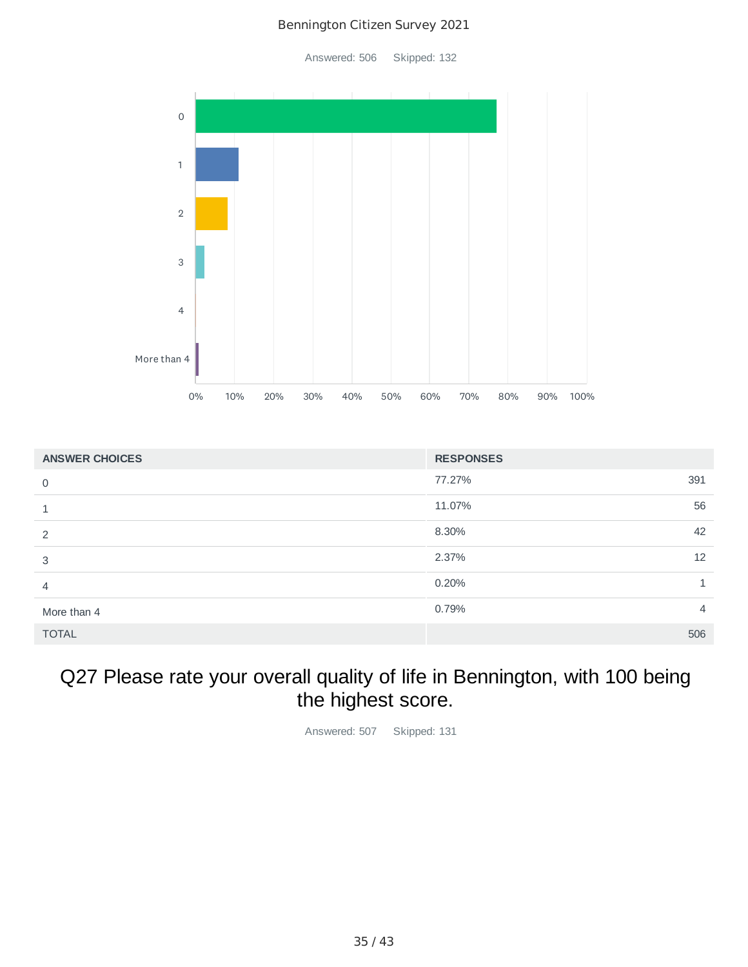Answered: 506 Skipped: 132



| <b>ANSWER CHOICES</b> | <b>RESPONSES</b>        |
|-----------------------|-------------------------|
| $\overline{0}$        | 77.27%<br>391           |
| 1                     | 56<br>11.07%            |
| 2                     | 42<br>8.30%             |
| 3                     | 2.37%<br>12             |
| 4                     | 0.20%<br>1              |
| More than 4           | 0.79%<br>$\overline{4}$ |
| <b>TOTAL</b>          | 506                     |

## Q27 Please rate your overall quality of life in Bennington, with 100 being the highest score.

Answered: 507 Skipped: 131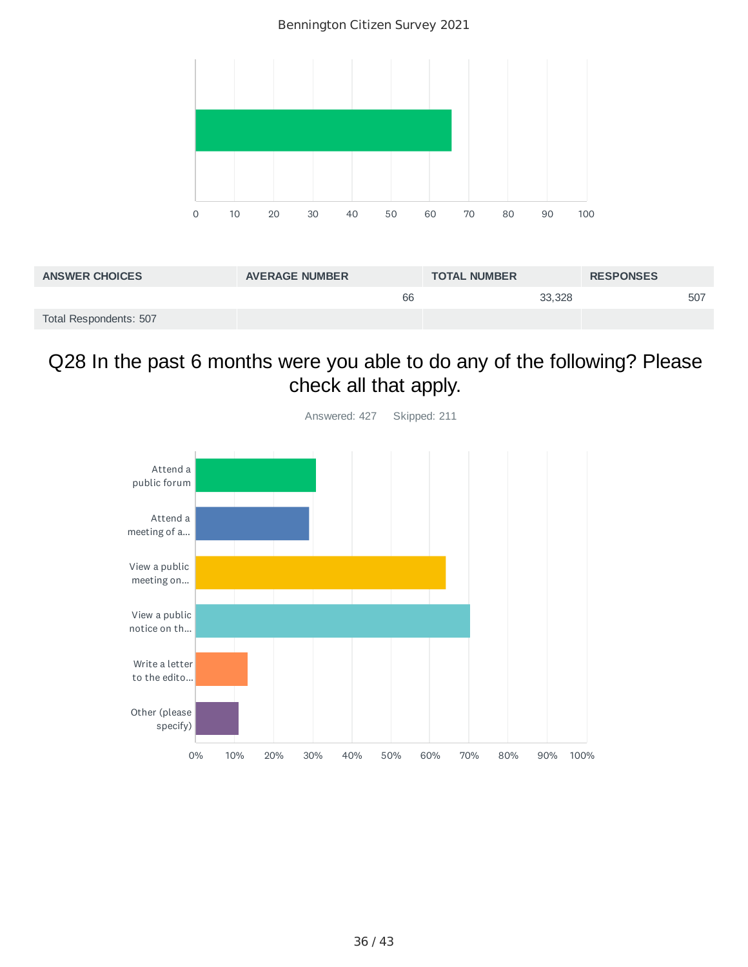Bennington Citizen Survey 2021



| <b>ANSWER CHOICES</b>  | <b>AVERAGE NUMBER</b> | <b>TOTAL NUMBER</b> | <b>RESPONSES</b> |
|------------------------|-----------------------|---------------------|------------------|
|                        | 66                    | 33,328              | 507              |
| Total Respondents: 507 |                       |                     |                  |

## Q28 In the past 6 months were you able to do any of the following? Please check all that apply.



36 / 43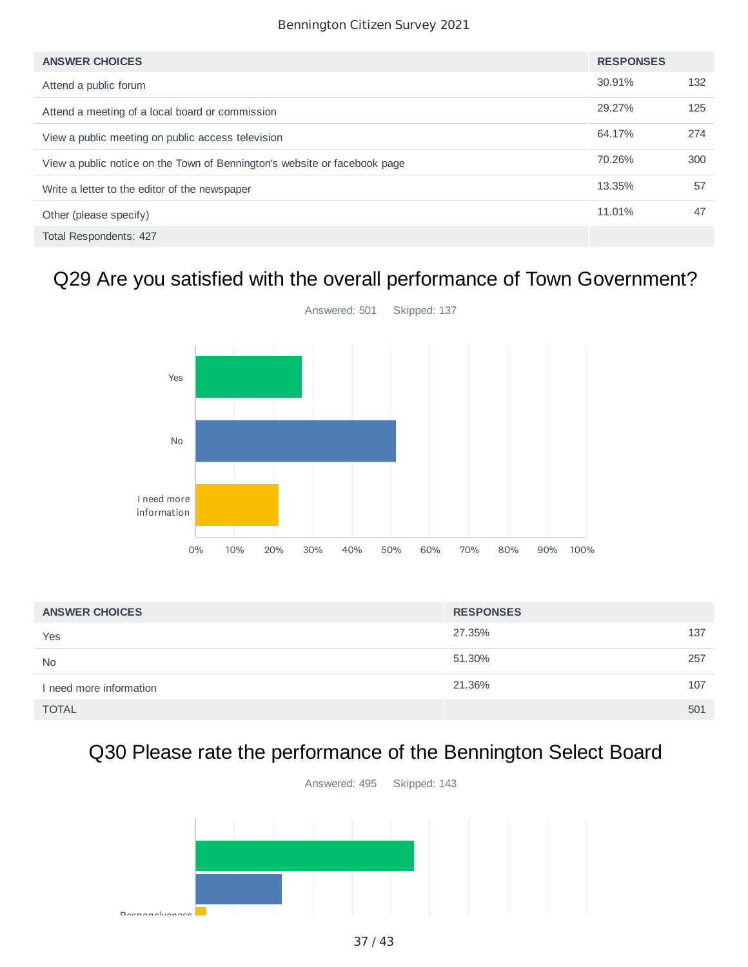| <b>ANSWER CHOICES</b>                                                     | <b>RESPONSES</b> |     |
|---------------------------------------------------------------------------|------------------|-----|
| Attend a public forum                                                     | 30.91%           | 132 |
| Attend a meeting of a local board or commission                           | 29.27%           | 125 |
| View a public meeting on public access television                         | 64.17%           | 274 |
| View a public notice on the Town of Bennington's website or facebook page | 70.26%           | 300 |
| Write a letter to the editor of the newspaper                             | 13.35%           | 57  |
| Other (please specify)                                                    | 11.01%           | 47  |
| Total Respondents: 427                                                    |                  |     |

## Q29 Are you satisfied with the overall performance of Town Government?



| <b>ANSWER CHOICES</b>   | <b>RESPONSES</b> |     |
|-------------------------|------------------|-----|
| Yes                     | 27.35%           | 137 |
| <b>No</b>               | 51.30%           | 257 |
| I need more information | 21.36%           | 107 |
| <b>TOTAL</b>            |                  | 501 |

# Q30 Please rate the performance of the Bennington Select Board

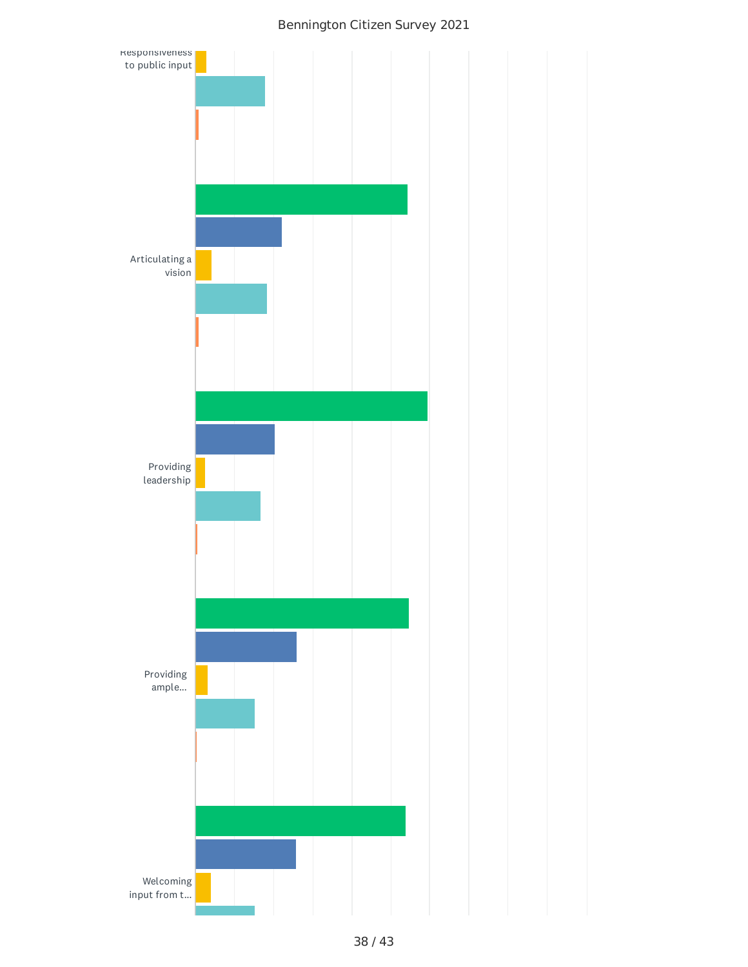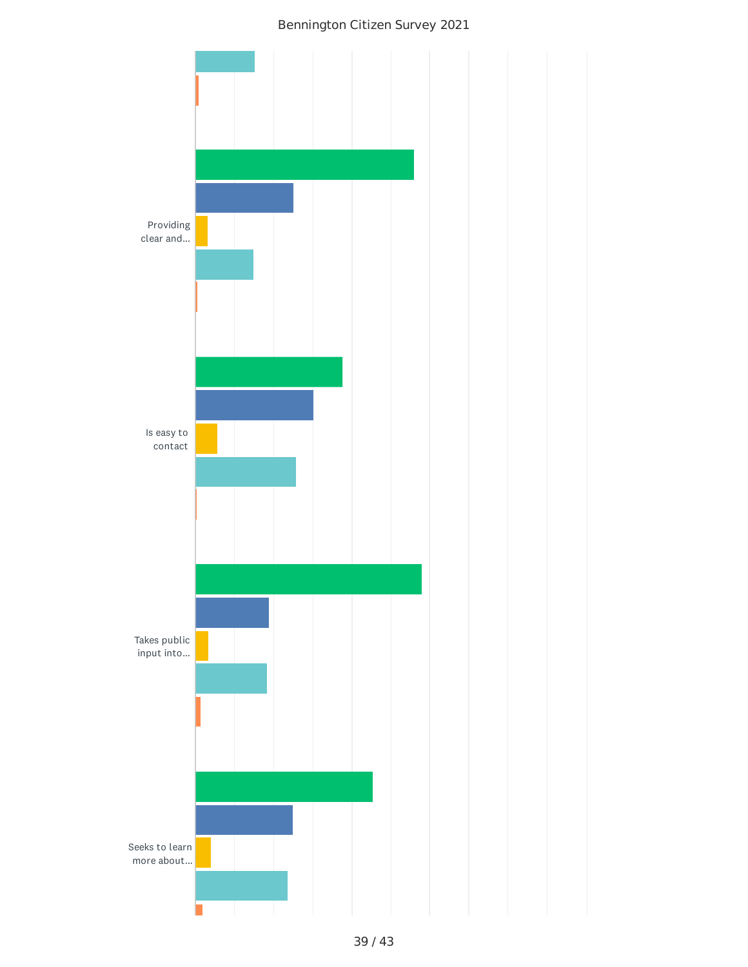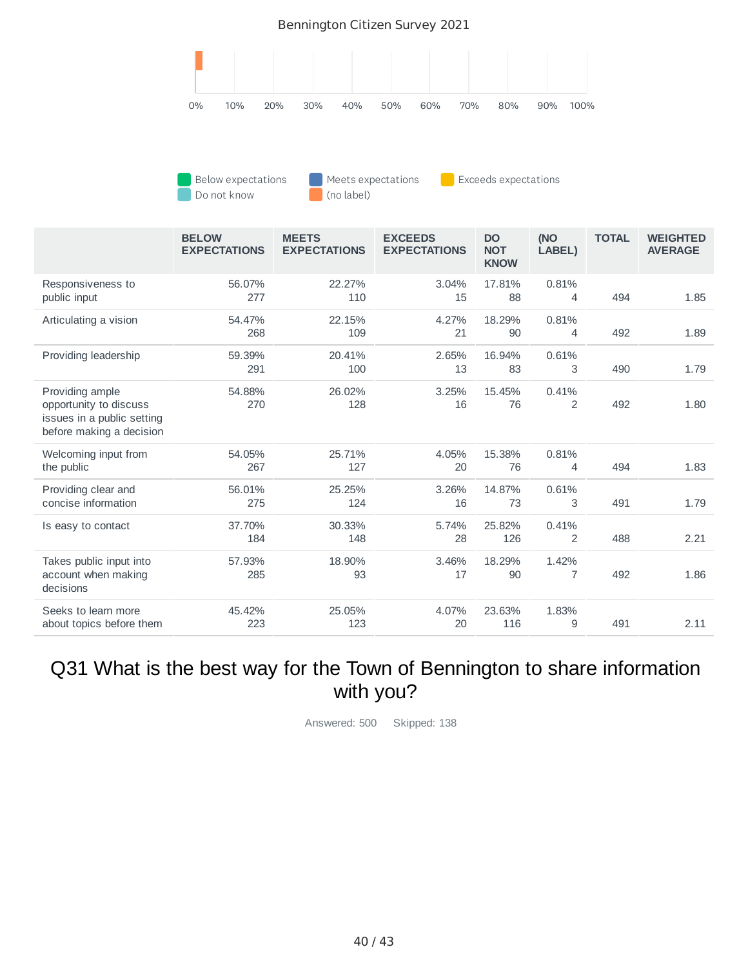

| Below expectations | Meets expectations | Exceeds expectations |
|--------------------|--------------------|----------------------|
| Do not know        | (no label)         |                      |

ſ

|                                                                                                     | <b>BELOW</b><br><b>EXPECTATIONS</b> | <b>MEETS</b><br><b>EXPECTATIONS</b> | <b>EXCEEDS</b><br><b>EXPECTATIONS</b> | <b>DO</b><br><b>NOT</b><br><b>KNOW</b> | (NO<br>LABEL) | <b>TOTAL</b> | <b>WEIGHTED</b><br><b>AVERAGE</b> |
|-----------------------------------------------------------------------------------------------------|-------------------------------------|-------------------------------------|---------------------------------------|----------------------------------------|---------------|--------------|-----------------------------------|
| Responsiveness to<br>public input                                                                   | 56.07%<br>277                       | 22.27%<br>110                       | 3.04%<br>15                           | 17.81%<br>88                           | 0.81%<br>4    | 494          | 1.85                              |
| Articulating a vision                                                                               | 54.47%<br>268                       | 22.15%<br>109                       | 4.27%<br>21                           | 18.29%<br>90                           | 0.81%<br>4    | 492          | 1.89                              |
| Providing leadership                                                                                | 59.39%<br>291                       | 20.41%<br>100                       | 2.65%<br>13                           | 16.94%<br>83                           | 0.61%<br>3    | 490          | 1.79                              |
| Providing ample<br>opportunity to discuss<br>issues in a public setting<br>before making a decision | 54.88%<br>270                       | 26.02%<br>128                       | 3.25%<br>16                           | 15.45%<br>76                           | 0.41%<br>2    | 492          | 1.80                              |
| Welcoming input from<br>the public                                                                  | 54.05%<br>267                       | 25.71%<br>127                       | 4.05%<br>20                           | 15.38%<br>76                           | 0.81%<br>4    | 494          | 1.83                              |
| Providing clear and<br>concise information                                                          | 56.01%<br>275                       | 25.25%<br>124                       | 3.26%<br>16                           | 14.87%<br>73                           | 0.61%<br>3    | 491          | 1.79                              |
| Is easy to contact                                                                                  | 37.70%<br>184                       | 30.33%<br>148                       | 5.74%<br>28                           | 25.82%<br>126                          | 0.41%<br>2    | 488          | 2.21                              |
| Takes public input into<br>account when making<br>decisions                                         | 57.93%<br>285                       | 18.90%<br>93                        | 3.46%<br>17                           | 18.29%<br>90                           | 1.42%<br>7    | 492          | 1.86                              |
| Seeks to learn more<br>about topics before them                                                     | 45.42%<br>223                       | 25.05%<br>123                       | 4.07%<br>20                           | 23.63%<br>116                          | 1.83%<br>9    | 491          | 2.11                              |

## Q31 What is the best way for the Town of Bennington to share information with you?

Answered: 500 Skipped: 138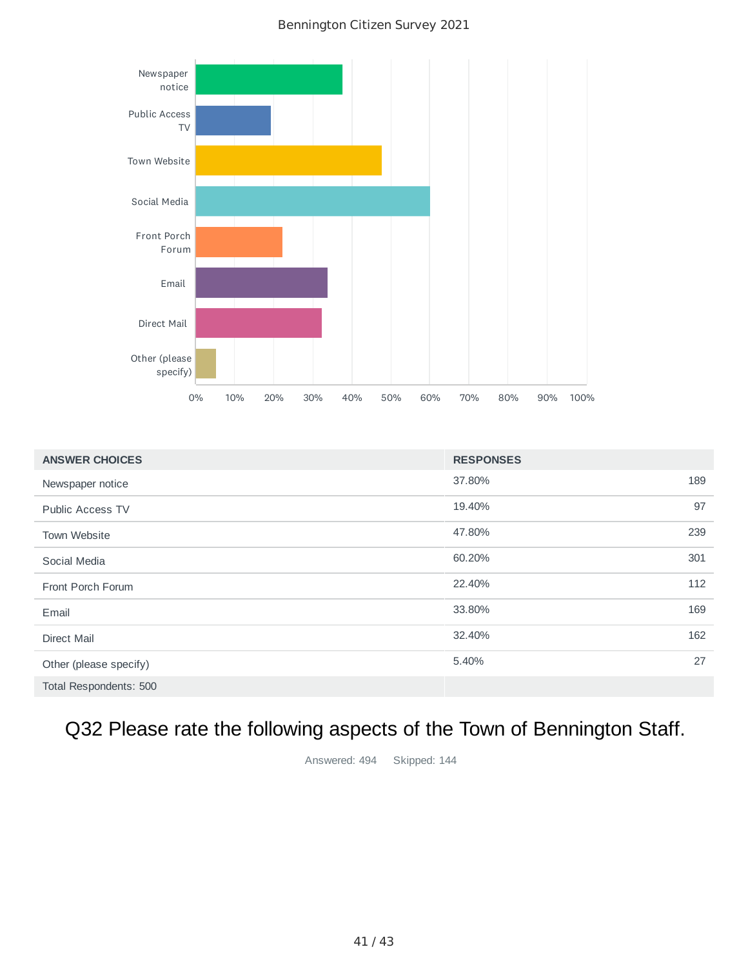

| <b>ANSWER CHOICES</b>   | <b>RESPONSES</b> |     |
|-------------------------|------------------|-----|
| Newspaper notice        | 37.80%           | 189 |
| <b>Public Access TV</b> | 19.40%           | 97  |
| Town Website            | 47.80%           | 239 |
| Social Media            | 60.20%           | 301 |
| Front Porch Forum       | 22.40%           | 112 |
| Email                   | 33.80%           | 169 |
| <b>Direct Mail</b>      | 32.40%           | 162 |
| Other (please specify)  | 5.40%            | 27  |
| Total Respondents: 500  |                  |     |

# Q32 Please rate the following aspects of the Town of Bennington Staff.

Answered: 494 Skipped: 144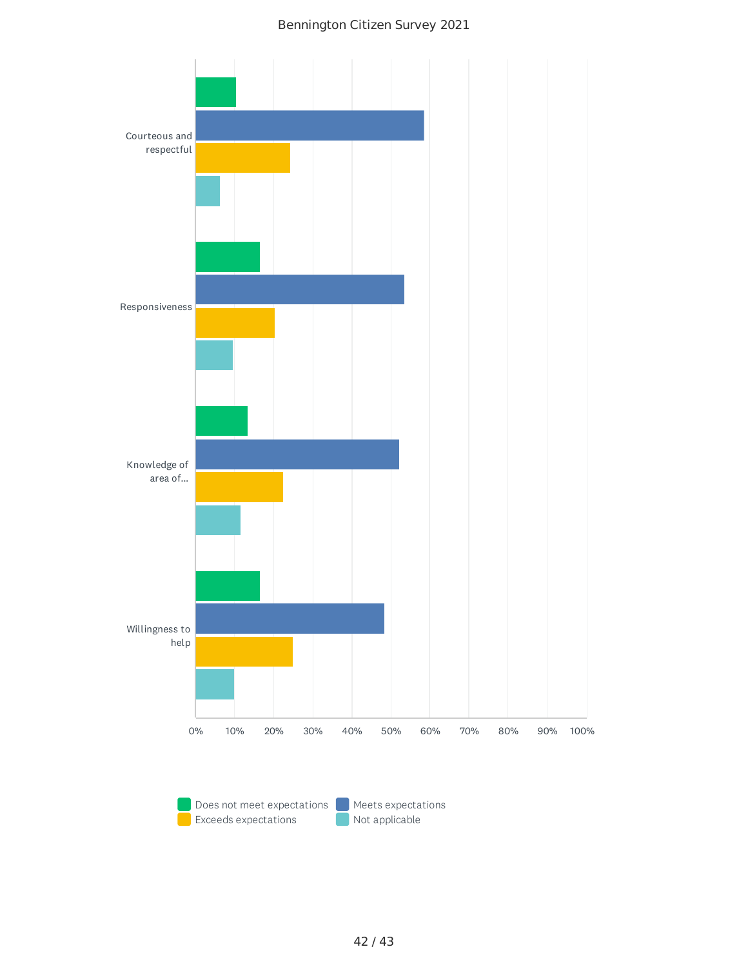